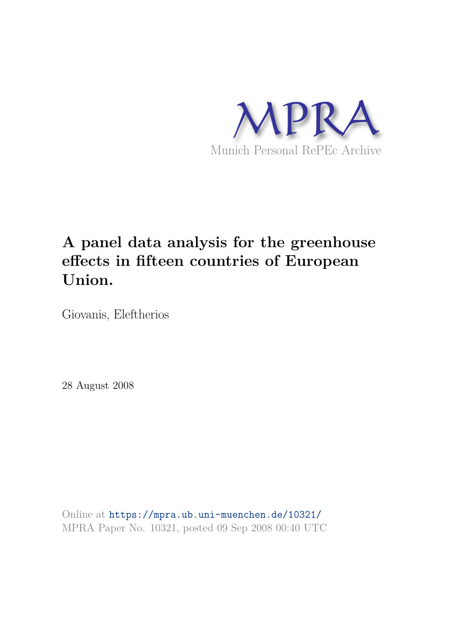

# **A panel data analysis for the greenhouse effects in fifteen countries of European Union.**

Giovanis, Eleftherios

28 August 2008

Online at https://mpra.ub.uni-muenchen.de/10321/ MPRA Paper No. 10321, posted 09 Sep 2008 00:40 UTC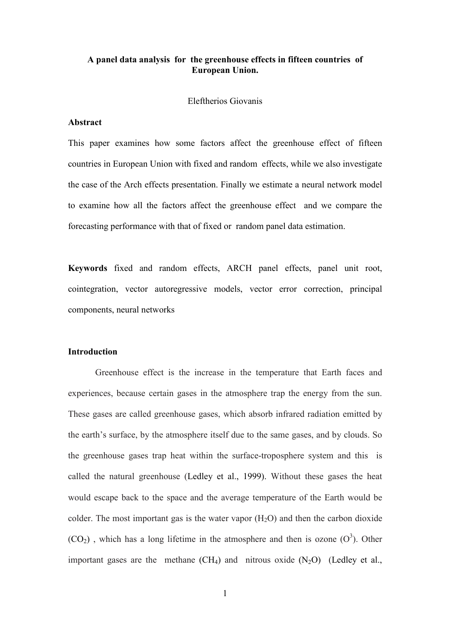## A panel data analysis for the greenhouse effects in fifteen countries of **European Union.**

## Eleftherios Giovanis

## Abstract

This paper examines how some factors affect the greenhouse effect of fifteen countries in European Union with fixed and random effects, while we also investigate the case of the Arch effects presentation. Finally we estimate a neural network model to examine how all the factors affect the greenhouse effect and we compare the forecasting performance with that of fixed or random panel data estimation.

Keywords fixed and random effects, ARCH panel effects, panel unit root, cointegration, vector autoregressive models, vector error correction, principal components, neural networks

## **Introduction**

Greenhouse effect is the increase in the temperature that Earth faces and experiences, because certain gases in the atmosphere trap the energy from the sun. These gases are called greenhouse gases, which absorb infrared radiation emitted by the earth's surface, by the atmosphere itself due to the same gases, and by clouds. So the greenhouse gases trap heat within the surface-troposphere system and this is called the natural greenhouse (Ledley et al., 1999). Without these gases the heat would escape back to the space and the average temperature of the Earth would be colder. The most important gas is the water vapor  $(H<sub>2</sub>O)$  and then the carbon dioxide  $(CO<sub>2</sub>)$ , which has a long lifetime in the atmosphere and then is ozone  $(O<sup>3</sup>)$ . Other important gases are the methane  $(CH_4)$  and nitrous oxide  $(N_2O)$  (Ledley et al.,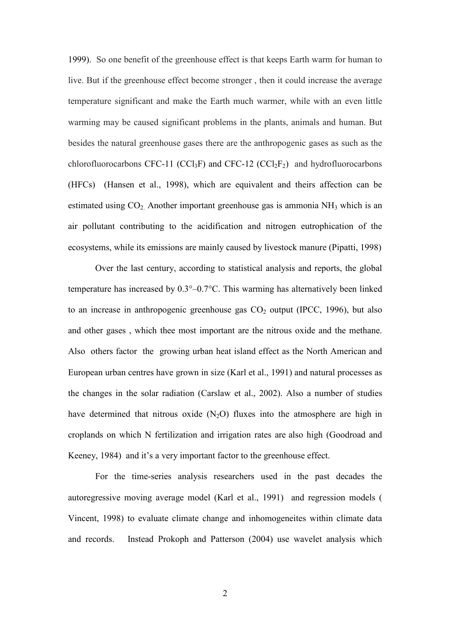1999). So one benefit of the greenhouse effect is that keeps Earth warm for human to live. But if the greenhouse effect become stronger, then it could increase the average temperature significant and make the Earth much warmer, while with an even little warming may be caused significant problems in the plants, animals and human. But besides the natural greenhouse gases there are the anthropogenic gases as such as the chlorofluorocarbons CFC-11 (CCl<sub>3</sub>F) and CFC-12 (CCl<sub>2</sub>F<sub>2</sub>) and hydrofluorocarbons (HFCs) (Hansen et al., 1998), which are equivalent and theirs affection can be estimated using  $CO<sub>2</sub>$ . Another important greenhouse gas is ammonia NH<sub>3</sub> which is an air pollutant contributing to the acidification and nitrogen eutrophication of the ecosystems, while its emissions are mainly caused by livestock manure (Pipatti, 1998)

Over the last century, according to statistical analysis and reports, the global temperature has increased by  $0.3^{\circ}$ -0.7 $^{\circ}$ C. This warming has alternatively been linked to an increase in anthropogenic greenhouse gas  $CO<sub>2</sub>$  output (IPCC, 1996), but also and other gases, which thee most important are the nitrous oxide and the methane. Also others factor the growing urban heat island effect as the North American and European urban centres have grown in size (Karl et al., 1991) and natural processes as the changes in the solar radiation (Carslaw et al., 2002). Also a number of studies have determined that nitrous oxide  $(N_2O)$  fluxes into the atmosphere are high in croplands on which N fertilization and irrigation rates are also high (Goodroad and Keeney, 1984) and it's a very important factor to the greenhouse effect.

For the time-series analysis researchers used in the past decades the autoregressive moving average model (Karl et al., 1991) and regression models ( Vincent, 1998) to evaluate climate change and inhomogeneites within climate data and records. Instead Prokoph and Patterson (2004) use wavelet analysis which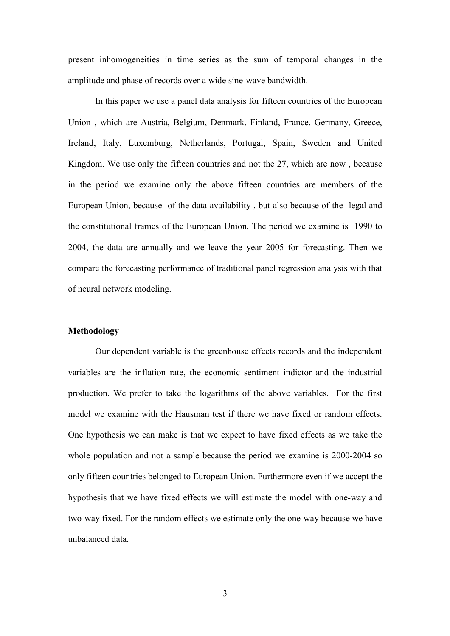present inhomogeneities in time series as the sum of temporal changes in the amplitude and phase of records over a wide sine-wave bandwidth.

In this paper we use a panel data analysis for fifteen countries of the European Union, which are Austria, Belgium, Denmark, Finland, France, Germany, Greece, Ireland, Italy, Luxemburg, Netherlands, Portugal, Spain, Sweden and United Kingdom. We use only the fifteen countries and not the 27, which are now, because in the period we examine only the above fifteen countries are members of the European Union, because of the data availability, but also because of the legal and the constitutional frames of the European Union. The period we examine is 1990 to 2004, the data are annually and we leave the year 2005 for forecasting. Then we compare the forecasting performance of traditional panel regression analysis with that of neural network modeling.

## Methodology

Our dependent variable is the greenhouse effects records and the independent variables are the inflation rate, the economic sentiment indictor and the industrial production. We prefer to take the logarithms of the above variables. For the first model we examine with the Hausman test if there we have fixed or random effects. One hypothesis we can make is that we expect to have fixed effects as we take the whole population and not a sample because the period we examine is 2000-2004 so only fifteen countries belonged to European Union. Furthermore even if we accept the hypothesis that we have fixed effects we will estimate the model with one-way and two-way fixed. For the random effects we estimate only the one-way because we have unbalanced data.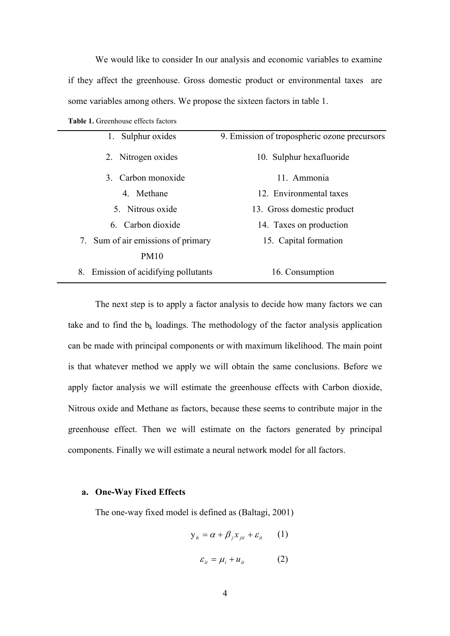We would like to consider In our analysis and economic variables to examine if they affect the greenhouse. Gross domestic product or environmental taxes are some variables among others. We propose the sixteen factors in table 1.

|  | <b>Table 1.</b> Greenhouse effects factors |  |  |
|--|--------------------------------------------|--|--|
|--|--------------------------------------------|--|--|

| 1. Sulphur oxides                    | 9. Emission of tropospheric ozone precursors |
|--------------------------------------|----------------------------------------------|
| 2. Nitrogen oxides                   | 10. Sulphur hexafluoride                     |
| 3. Carbon monoxide                   | 11. Ammonia                                  |
| 4 Methane                            | 12. Environmental taxes                      |
| 5. Nitrous oxide                     | 13. Gross domestic product                   |
| 6. Carbon dioxide                    | 14. Taxes on production                      |
| 7. Sum of air emissions of primary   | 15. Capital formation                        |
| <b>PM10</b>                          |                                              |
| 8. Emission of acidifying pollutants | 16. Consumption                              |

The next step is to apply a factor analysis to decide how many factors we can take and to find the  $b_k$  loadings. The methodology of the factor analysis application can be made with principal components or with maximum likelihood. The main point is that whatever method we apply we will obtain the same conclusions. Before we apply factor analysis we will estimate the greenhouse effects with Carbon dioxide, Nitrous oxide and Methane as factors, because these seems to contribute major in the greenhouse effect. Then we will estimate on the factors generated by principal components. Finally we will estimate a neural network model for all factors.

## a. One-Way Fixed Effects

The one-way fixed model is defined as (Baltagi, 2001)

$$
y_{it} = \alpha + \beta_j x_{jit} + \varepsilon_{it} \qquad (1)
$$

$$
\varepsilon_{it} = \mu_i + u_{it} \tag{2}
$$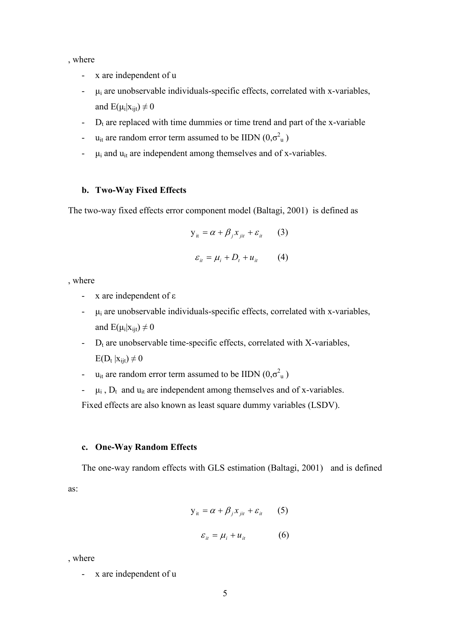, where

- x are independent of u
- $\mu_i$  are unobservable individuals-specific effects, correlated with x-variables,  $\Delta \sim 10^{-11}$ and  $E(\mu_i|x_{\text{ijt}}) \neq 0$
- $D_t$  are replaced with time dummies or time trend and part of the x-variable  $\omega_{\rm{eff}}$
- $u_{it}$  are random error term assumed to be IIDN  $(0,\sigma^2_{u})$  $\omega_{\rm{max}}$
- $\mu_i$  and  $u_{it}$  are independent among themselves and of x-variables.  $\frac{1}{2}$  .

## b. Two-Way Fixed Effects

The two-way fixed effects error component model (Baltagi, 2001) is defined as

$$
y_{it} = \alpha + \beta_j x_{jit} + \varepsilon_{it}
$$
 (3)  

$$
\varepsilon_{it} = \mu_i + D_t + u_{it}
$$
 (4)

, where

- x are independent of  $\varepsilon$
- $\mu_i$  are unobservable individuals-specific effects, correlated with x-variables,  $\mathbf{L}^{\text{max}}$ and  $E(\mu_i|x_{\text{iit}}) \neq 0$
- $\omega_{\rm{max}}$  $D_t$  are unobservable time-specific effects, correlated with X-variables,  $E(D_t | x_{i_1t}) \neq 0$
- u<sub>it</sub> are random error term assumed to be IIDN  $(0,\sigma_u^2)$
- $\mu_i$ ,  $D_t$  and  $u_{it}$  are independent among themselves and of x-variables.

Fixed effects are also known as least square dummy variables (LSDV).

## c. One-Way Random Effects

The one-way random effects with GLS estimation (Baltagi, 2001) and is defined

as:

$$
y_{it} = \alpha + \beta_j x_{jit} + \varepsilon_{it} \qquad (5)
$$

$$
\varepsilon_{it} = \mu_i + u_{it} \tag{6}
$$

where

<sup>-</sup> x are independent of u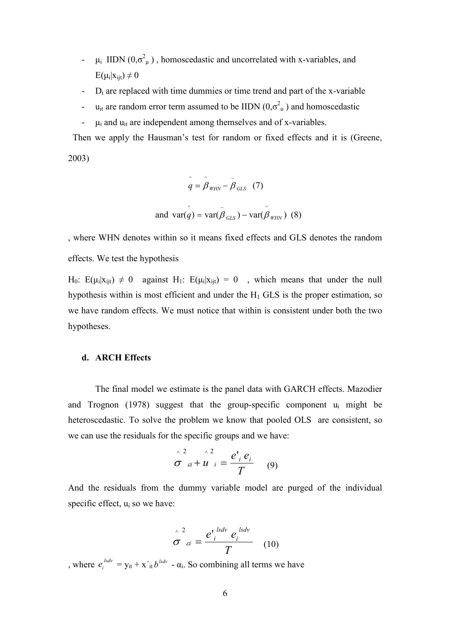- $\mu_i$  IIDN  $(0,\sigma^2_{\mu})$ , homoscedastic and uncorrelated with x-variables, and  $\blacksquare$  $E(\mu_i|x_{\text{ij}}) \neq 0$
- $D_t$  are replaced with time dummies or time trend and part of the x-variable
- $u_{it}$  are random error term assumed to be IIDN  $(0,\sigma_u^2)$  and homoscedastic  $\omega_{\rm{eff}}$
- $\mu_i$  and  $u_{it}$  are independent among themselves and of x-variables.  $\Box$

Then we apply the Hausman's test for random or fixed effects and it is (Greene.

 $2003)$ 

$$
\hat{q} = \hat{\beta}_{WHN} - \tilde{\beta}_{GLS} \quad (7)
$$
  
and 
$$
\hat{q} = \hat{\beta}_{HHN} - \tilde{\beta}_{GLS} \quad (7)
$$

, where WHN denotes within so it means fixed effects and GLS denotes the random effects. We test the hypothesis

H<sub>0</sub>: E( $\mu_i | x_{ii} \rangle \neq 0$  against H<sub>1</sub>: E( $\mu_i | x_{ii} \rangle = 0$ , which means that under the null hypothesis within is most efficient and under the  $H_1$  GLS is the proper estimation, so we have random effects. We must notice that within is consistent under both the two hypotheses.

## d. ARCH Effects

The final model we estimate is the panel data with GARCH effects. Mazodier and Trognon (1978) suggest that the group-specific component  $u_i$  might be heteroscedastic. To solve the problem we know that pooled OLS are consistent, so we can use the residuals for the specific groups and we have:

$$
\hat{\sigma}_{si}^2 + \hat{u}_{i}^2 = \frac{e^{i}_{i} e_{i}}{T}
$$
 (9)

And the residuals from the dummy variable model are purged of the individual specific effect, u<sub>i</sub> so we have:

$$
\hat{\sigma}^{2}_{\ \ \varepsilon i} = \frac{e^{i}{}_{i}{}^{lsdv} e^{lsdv}}{T}
$$
 (10)

, where  $e_i^{lsdv} = y_{it} + x'_{it} b^{lsdv} - \alpha_i$ . So combining all terms we have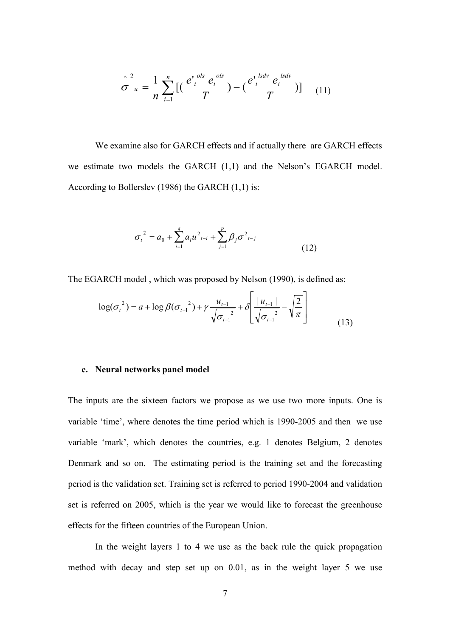$$
\hat{\sigma}_{u}^{2} = \frac{1}{n} \sum_{i=1}^{n} \big[ \big( \frac{e^{i} e^{ols}}{T} - \big) - \big( \frac{e^{i} e^{i k x}}{T} \big) \big] \big( 11 \big)
$$

We examine also for GARCH effects and if actually there are GARCH effects we estimate two models the GARCH (1,1) and the Nelson's EGARCH model. According to Bollerslev (1986) the GARCH  $(1,1)$  is:

$$
\sigma_t^2 = a_0 + \sum_{i=1}^q a_i u_{t-i}^2 + \sum_{j=1}^p \beta_j \sigma_{t-j}^2
$$
\n(12)

The EGARCH model, which was proposed by Nelson (1990), is defined as:

$$
\log(\sigma_{t}^{2}) = a + \log \beta(\sigma_{t-1}^{2}) + \gamma \frac{u_{t-1}}{\sqrt{\sigma_{t-1}^{2}}} + \delta \left[ \frac{|u_{t-1}|}{\sqrt{\sigma_{t-1}^{2}}} - \sqrt{\frac{2}{\pi}} \right]
$$
(13)

## e. Neural networks panel model

The inputs are the sixteen factors we propose as we use two more inputs. One is variable 'time', where denotes the time period which is 1990-2005 and then we use variable 'mark', which denotes the countries, e.g. 1 denotes Belgium, 2 denotes Denmark and so on. The estimating period is the training set and the forecasting period is the validation set. Training set is referred to period 1990-2004 and validation set is referred on 2005, which is the year we would like to forecast the greenhouse effects for the fifteen countries of the European Union.

In the weight layers 1 to 4 we use as the back rule the quick propagation method with decay and step set up on 0.01, as in the weight layer 5 we use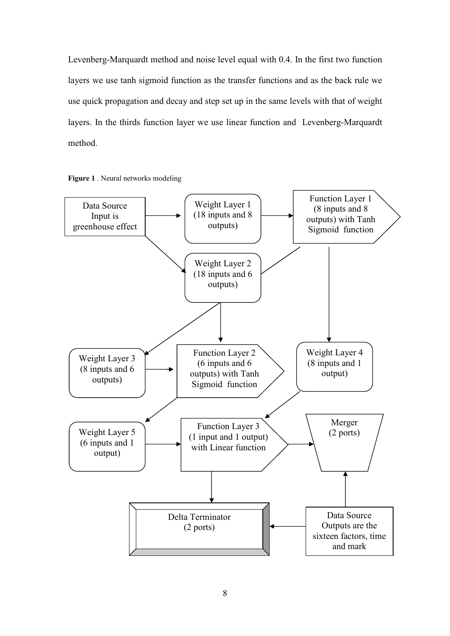Levenberg-Marquardt method and noise level equal with 0.4. In the first two function layers we use tanh sigmoid function as the transfer functions and as the back rule we use quick propagation and decay and step set up in the same levels with that of weight layers. In the thirds function layer we use linear function and Levenberg-Marquardt method.



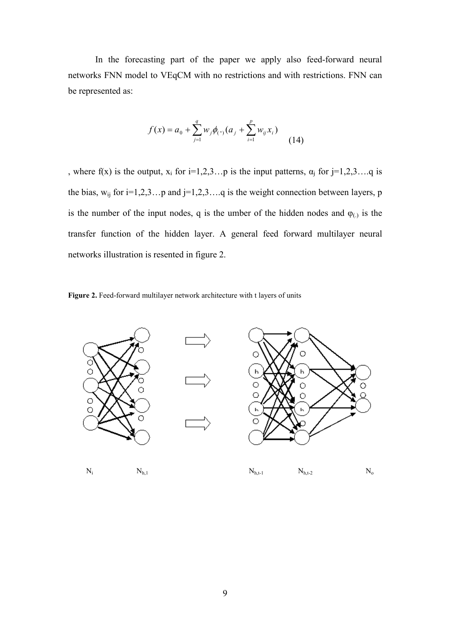In the forecasting part of the paper we apply also feed-forward neural networks FNN model to VEqCM with no restrictions and with restrictions. FNN can be represented as:

$$
f(x) = a_0 + \sum_{j=1}^{q} w_j \phi_{(\cdot)}(a_j + \sum_{i=1}^{p} w_{ij} x_i)
$$
 (14)

, where f(x) is the output,  $x_i$  for  $i=1,2,3...$  p is the input patterns,  $\alpha_j$  for  $j=1,2,3...$  q is the bias,  $w_{ij}$  for  $i=1,2,3...p$  and  $j=1,2,3...q$  is the weight connection between layers, p is the number of the input nodes, q is the umber of the hidden nodes and  $\varphi$ <sub>(.)</sub> is the transfer function of the hidden layer. A general feed forward multilayer neural networks illustration is resented in figure 2.



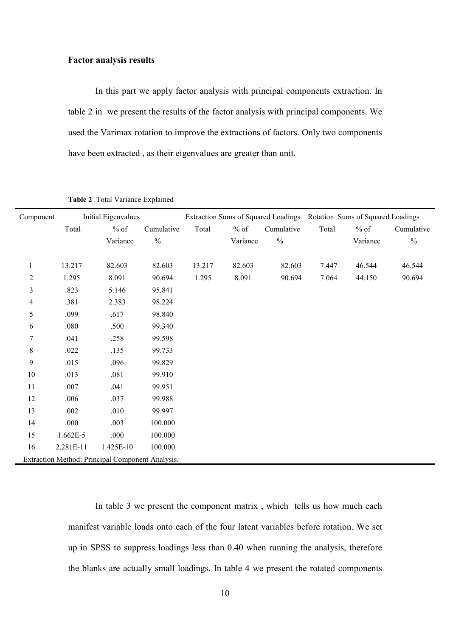## **Factor analysis results**

In this part we apply factor analysis with principal components extraction. In table 2 in we present the results of the factor analysis with principal components. We used the Varimax rotation to improve the extractions of factors. Only two components have been extracted, as their eigenvalues are greater than unit.

| Component  |            | Initial Eigenvalues                              |               |        |          | Extraction Sums of Squared Loadings Rotation Sums of Squared Loadings |       |          |               |
|------------|------------|--------------------------------------------------|---------------|--------|----------|-----------------------------------------------------------------------|-------|----------|---------------|
|            | Total      | $%$ of                                           | Cumulative    | Total  | $\%$ of  | Cumulative                                                            | Total | $\%$ of  | Cumulative    |
|            |            | Variance                                         | $\frac{0}{0}$ |        | Variance | $\frac{0}{0}$                                                         |       | Variance | $\frac{0}{0}$ |
|            |            |                                                  |               |        |          |                                                                       |       |          |               |
| 1          | 13.217     | 82.603                                           | 82.603        | 13.217 | 82.603   | 82.603                                                                | 7.447 | 46.544   | 46.544        |
| $\sqrt{2}$ | 1.295      | 8.091                                            | 90.694        | 1.295  | 8.091    | 90.694                                                                | 7.064 | 44.150   | 90.694        |
| 3          | .823       | 5.146                                            | 95.841        |        |          |                                                                       |       |          |               |
| 4          | .381       | 2.383                                            | 98.224        |        |          |                                                                       |       |          |               |
| 5          | .099       | .617                                             | 98.840        |        |          |                                                                       |       |          |               |
| 6          | .080       | .500                                             | 99.340        |        |          |                                                                       |       |          |               |
| 7          | .041       | .258                                             | 99.598        |        |          |                                                                       |       |          |               |
| $\,$ $\,$  | .022       | .135                                             | 99.733        |        |          |                                                                       |       |          |               |
| 9          | .015       | .096                                             | 99.829        |        |          |                                                                       |       |          |               |
| 10         | .013       | .081                                             | 99.910        |        |          |                                                                       |       |          |               |
| 11         | .007       | .041                                             | 99.951        |        |          |                                                                       |       |          |               |
| 12         | .006       | .037                                             | 99.988        |        |          |                                                                       |       |          |               |
| 13         | .002       | .010                                             | 99.997        |        |          |                                                                       |       |          |               |
| 14         | .000       | .003                                             | 100.000       |        |          |                                                                       |       |          |               |
| 15         | $1.662E-5$ | .000                                             | 100.000       |        |          |                                                                       |       |          |               |
| 16         | 2.281E-11  | 1.425E-10                                        | 100.000       |        |          |                                                                       |       |          |               |
|            |            | Extraction Method: Principal Component Analysis. |               |        |          |                                                                       |       |          |               |

Table 2 .Total Variance Explained

In table 3 we present the component matrix, which tells us how much each manifest variable loads onto each of the four latent variables before rotation. We set up in SPSS to suppress loadings less than 0.40 when running the analysis, therefore the blanks are actually small loadings. In table 4 we present the rotated components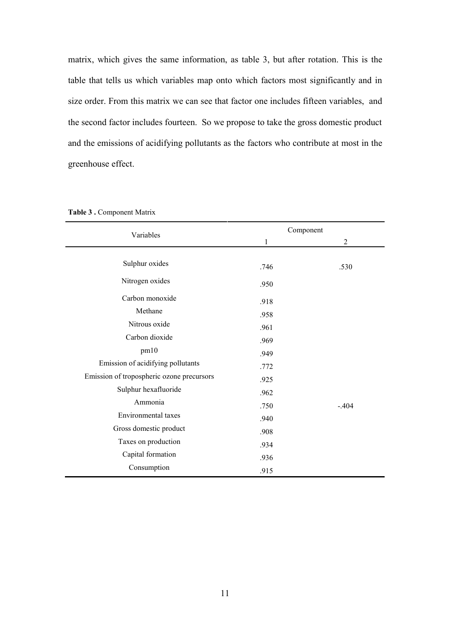matrix, which gives the same information, as table 3, but after rotation. This is the table that tells us which variables map onto which factors most significantly and in size order. From this matrix we can see that factor one includes fifteen variables, and the second factor includes fourteen. So we propose to take the gross domestic product and the emissions of acidifying pollutants as the factors who contribute at most in the greenhouse effect.

| Variables                                 |      | Component      |
|-------------------------------------------|------|----------------|
|                                           | 1    | $\overline{2}$ |
| Sulphur oxides                            | .746 | .530           |
| Nitrogen oxides                           | .950 |                |
| Carbon monoxide                           | .918 |                |
| Methane                                   | .958 |                |
| Nitrous oxide                             | .961 |                |
| Carbon dioxide                            | .969 |                |
| pm10                                      | .949 |                |
| Emission of acidifying pollutants         | .772 |                |
| Emission of tropospheric ozone precursors | .925 |                |
| Sulphur hexafluoride                      | .962 |                |
| Ammonia                                   | .750 | $-404$         |
| Environmental taxes                       | .940 |                |
| Gross domestic product                    | .908 |                |
| Taxes on production                       | .934 |                |
| Capital formation                         | .936 |                |
| Consumption                               | .915 |                |

Table 3 . Component Matrix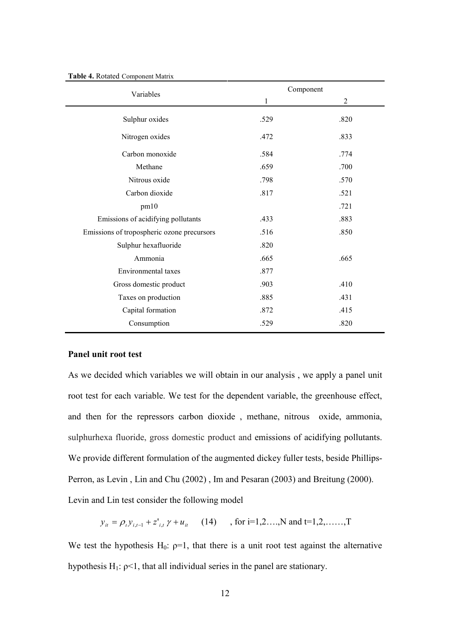| Variables                                  |      | Component      |
|--------------------------------------------|------|----------------|
|                                            | 1    | $\overline{2}$ |
| Sulphur oxides                             | .529 | .820           |
| Nitrogen oxides                            | .472 | .833           |
| Carbon monoxide                            | .584 | .774           |
| Methane                                    | .659 | .700           |
| Nitrous oxide                              | .798 | .570           |
| Carbon dioxide                             | .817 | .521           |
| pm10                                       |      | .721           |
| Emissions of acidifying pollutants         | .433 | .883           |
| Emissions of tropospheric ozone precursors | .516 | .850           |
| Sulphur hexafluoride                       | .820 |                |
| Ammonia                                    | .665 | .665           |
| Environmental taxes                        | .877 |                |
| Gross domestic product                     | .903 | .410           |
| Taxes on production                        | .885 | .431           |
| Capital formation                          | .872 | .415           |
| Consumption                                | .529 | .820           |

#### Table 4. Rotated Component Matrix

## Panel unit root test

As we decided which variables we will obtain in our analysis, we apply a panel unit root test for each variable. We test for the dependent variable, the greenhouse effect, and then for the repressors carbon dioxide, methane, nitrous oxide, ammonia, sulphurhexa fluoride, gross domestic product and emissions of acidifying pollutants. We provide different formulation of the augmented dickey fuller tests, beside Phillips-Perron, as Levin, Lin and Chu (2002), Im and Pesaran (2003) and Breitung (2000). Levin and Lin test consider the following model

 $y_{it} = \rho_i y_{i,t-1} + z_{i,t}^{\dagger} \gamma + u_{it}$  (14), for i=1,2...,N and t=1,2,.....,T

We test the hypothesis  $H_0$ :  $\rho=1$ , that there is a unit root test against the alternative hypothesis  $H_1$ :  $p<1$ , that all individual series in the panel are stationary.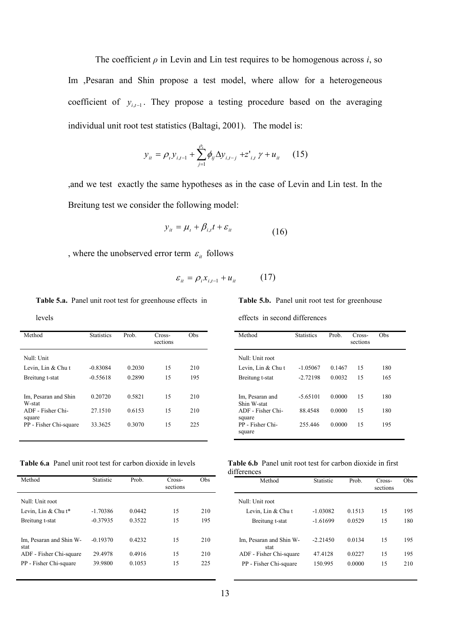The coefficient  $\rho$  in Levin and Lin test requires to be homogenous across i, so Im ,Pesaran and Shin propose a test model, where allow for a heterogeneous coefficient of  $y_{i,j}$ . They propose a testing procedure based on the averaging individual unit root test statistics (Baltagi, 2001). The model is:

$$
y_{it} = \rho_{i} y_{i,t-1} + \sum_{j=1}^{\rho_{i}} \phi_{ij} \Delta y_{i,t-j} + z_{i,t}' \gamma + u_{it} \qquad (15)
$$

, and we test exactly the same hypotheses as in the case of Levin and Lin test. In the Breitung test we consider the following model:

$$
y_{it} = \mu_t + \beta_{i,t} t + \varepsilon_{it} \tag{16}
$$

, where the unobserved error term  $\,\varepsilon_{_{it}}\,$  follows

$$
\varepsilon_{it} = \rho_i x_{i,t-1} + u_{it} \tag{17}
$$

Table 5.a. Panel unit root test for greenhouse effects in levels

| Method                                | <b>Statistics</b> | Prob.  | Cross-<br>sections | Obs |
|---------------------------------------|-------------------|--------|--------------------|-----|
| Null: Unit                            |                   |        |                    |     |
| Levin, Lin & Chu t                    | $-0.83084$        | 0.2030 | 15                 | 210 |
| Breitung t-stat                       | $-0.55618$        | 0.2890 | 15                 | 195 |
|                                       |                   |        |                    |     |
| Im, Pesaran and Shin                  | 0.20720           | 0.5821 | 15                 | 210 |
| W-stat<br>ADF - Fisher Chi-<br>square | 27.1510           | 0.6153 | 15                 | 210 |
| PP - Fisher Chi-square                | 33.3625           | 0.3070 | 15                 | 225 |
|                                       |                   |        |                    |     |

Table 6.a Panel unit root test for carbon dioxide in levels

| Method                          | <b>Statistic</b> | Prob.  | Cross-<br>sections | Obs |
|---------------------------------|------------------|--------|--------------------|-----|
| Null: Unit root                 |                  |        |                    |     |
| Levin, Lin & Chu t*             | $-1.70386$       | 0.0442 | 15                 | 210 |
| Breitung t-stat                 | $-0.37935$       | 0.3522 | 15                 | 195 |
| Im, Pesaran and Shin W-<br>stat | $-0.19370$       | 0.4232 | 15                 | 210 |
| ADF - Fisher Chi-square         | 29.4978          | 0.4916 | 15                 | 210 |
| PP - Fisher Chi-square          | 39.9800          | 0.1053 | 15                 | 225 |

Table 5.b. Panel unit root test for greenhouse

effects in second differences

| Method                           | <b>Statistics</b> | Prob.  | Cross-<br>sections | Obs |
|----------------------------------|-------------------|--------|--------------------|-----|
| Null: Unit root                  |                   |        |                    |     |
| Levin, Lin & Chu t               | $-1.05067$        | 0.1467 | 15                 | 180 |
| Breitung t-stat                  | $-2.72198$        | 0.0032 | 15                 | 165 |
|                                  |                   |        |                    |     |
| Im, Pesaran and                  | $-5.65101$        | 0.0000 | 15                 | 180 |
| Shin W-stat<br>ADF - Fisher Chi- | 88.4548           | 0.0000 | 15                 | 180 |
| square                           |                   |        |                    |     |
| PP - Fisher Chi-                 | 255.446           | 0.0000 | 15                 | 195 |
| square                           |                   |        |                    |     |

| <b>Table 6.b</b> Panel unit root test for carbon dioxide in first |  |  |  |  |
|-------------------------------------------------------------------|--|--|--|--|
| differences                                                       |  |  |  |  |

| Method                          | Statistic  | Prob.  | Cross-<br>sections | Obs |
|---------------------------------|------------|--------|--------------------|-----|
| Null: Unit root                 |            |        |                    |     |
| Levin, Lin & Chu t              | $-1.03082$ | 0.1513 | 15                 | 195 |
| Breitung t-stat                 | $-1.61699$ | 0.0529 | 15                 | 180 |
| Im, Pesaran and Shin W-<br>stat | $-2.21450$ | 0.0134 | 15                 | 195 |
| ADF - Fisher Chi-square         | 47.4128    | 0.0227 | 15                 | 195 |
| PP - Fisher Chi-square          | 150.995    | 0.0000 | 15                 | 210 |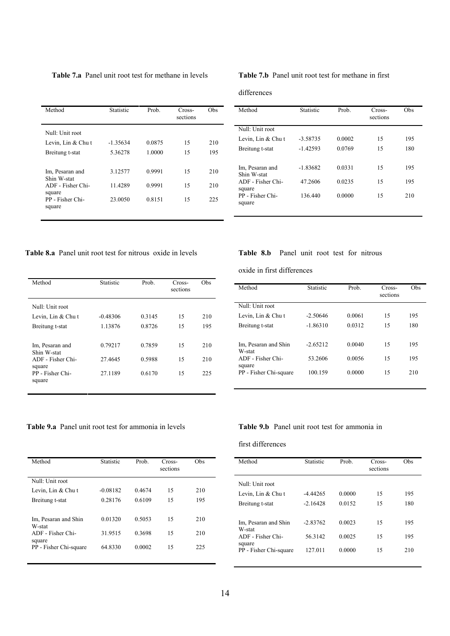| <b>Table 7.a</b> Panel unit root test for methane in levels |  |  |  |  |  |  |  |
|-------------------------------------------------------------|--|--|--|--|--|--|--|
|-------------------------------------------------------------|--|--|--|--|--|--|--|

| Method                         | <b>Statistic</b> | Prob.  | Cross-<br>sections | Obs |
|--------------------------------|------------------|--------|--------------------|-----|
| Null: Unit root                |                  |        |                    |     |
| Levin, Lin & Chu t             | $-1.35634$       | 0.0875 | 15                 | 210 |
| Breitung t-stat                | 5.36278          | 1.0000 | 15                 | 195 |
| Im, Pesaran and<br>Shin W-stat | 3.12577          | 0.9991 | 15                 | 210 |
| ADF - Fisher Chi-<br>square    | 11.4289          | 0.9991 | 15                 | 210 |
| PP - Fisher Chi-<br>square     | 23.0050          | 0.8151 | 15                 | 225 |

## Table 7.b Panel unit root test for methane in first

#### differences

| Method                         | <b>Statistic</b> | Prob.  | Cross-<br>sections | Obs |
|--------------------------------|------------------|--------|--------------------|-----|
| Null: Unit root                |                  |        |                    |     |
| Levin, Lin & Chu t             | $-3.58735$       | 0.0002 | 15                 | 195 |
| Breitung t-stat                | $-1.42593$       | 0.0769 | 15                 | 180 |
| Im, Pesaran and<br>Shin W-stat | $-1.83682$       | 0.0331 | 15                 | 195 |
| ADF - Fisher Chi-<br>square    | 47.2606          | 0.0235 | 15                 | 195 |
| PP - Fisher Chi-<br>square     | 136.440          | 0.0000 | 15                 | 210 |

Table 8.a Panel unit root test for nitrous oxide in levels

| Method                         | <b>Statistic</b> | Prob.  | Cross-<br>sections | Obs |
|--------------------------------|------------------|--------|--------------------|-----|
| Null: Unit root                |                  |        |                    |     |
| Levin, Lin & Chu t             | $-0.48306$       | 0.3145 | 15                 | 210 |
| Breitung t-stat                | 1.13876          | 0.8726 | 15                 | 195 |
| Im, Pesaran and<br>Shin W-stat | 0.79217          | 0.7859 | 15                 | 210 |
| ADF - Fisher Chi-<br>square    | 27.4645          | 0.5988 | 15                 | 210 |
| PP - Fisher Chi-<br>square     | 27.1189          | 0.6170 | 15                 | 225 |

Table 9.a Panel unit root test for ammonia in levels

| Method                           | Statistic  | Prob.  | Cross-<br>sections | Obs |
|----------------------------------|------------|--------|--------------------|-----|
| Null: Unit root                  |            |        |                    |     |
| Levin, Lin & Chu t               | $-0.08182$ | 0.4674 | 15                 | 210 |
| Breitung t-stat                  | 0.28176    | 0.6109 | 15                 | 195 |
|                                  |            |        |                    |     |
| Im, Pesaran and Shin<br>W-stat   | 0.01320    | 0.5053 | 15                 | 210 |
| ADF - Fisher Chi-                | 31.9515    | 0.3698 | 15                 | 210 |
| square<br>PP - Fisher Chi-square | 64.8330    | 0.0002 | 15                 | 225 |
|                                  |            |        |                    |     |

## Table 8.b Panel unit root test for nitrous

oxide in first differences

| Method                           | Statistic  | Prob.  | Cross-<br>sections | Obs |
|----------------------------------|------------|--------|--------------------|-----|
| Null: Unit root                  |            |        |                    |     |
| Levin, Lin & Chu t               | $-2.50646$ | 0.0061 | 15                 | 195 |
| Breitung t-stat                  | $-1.86310$ | 0.0312 | 15                 | 180 |
| Im, Pesaran and Shin<br>W-stat   | $-2.65212$ | 0.0040 | 15                 | 195 |
| ADF - Fisher Chi-                | 53.2606    | 0.0056 | 15                 | 195 |
| square<br>PP - Fisher Chi-square | 100.159    | 0.0000 | 15                 | 210 |

## Table 9.b Panel unit root test for ammonia in

## first differences

| Method                         | Statistic  | Prob.  | Cross-<br>sections | Obs |
|--------------------------------|------------|--------|--------------------|-----|
| Null: Unit root                |            |        |                    |     |
| Levin, Lin & Chu t             | $-4.44265$ | 0.0000 | 15                 | 195 |
| Breitung t-stat                | $-2.16428$ | 0.0152 | 15                 | 180 |
| Im, Pesaran and Shin<br>W-stat | $-2.83762$ | 0.0023 | 15                 | 195 |
| ADF - Fisher Chi-<br>square    | 56.3142    | 0.0025 | 15                 | 195 |
| PP - Fisher Chi-square         | 127.011    | 0.0000 | 15                 | 210 |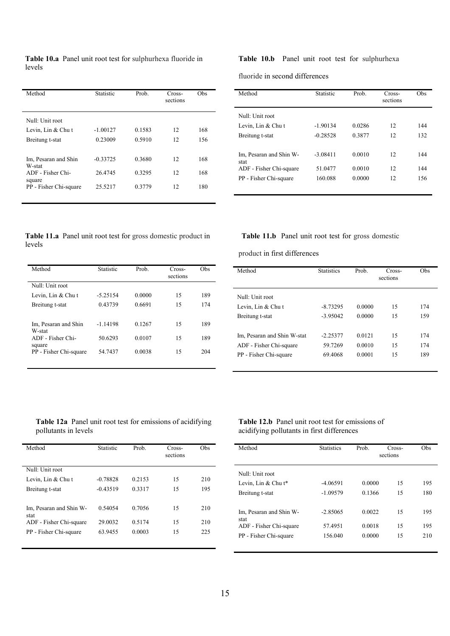|        | Table 10.a Panel unit root test for sulphurhexa fluoride in |  |
|--------|-------------------------------------------------------------|--|
| levels |                                                             |  |

| Method                           | <b>Statistic</b> | Prob.  | Cross-<br>sections | Obs |
|----------------------------------|------------------|--------|--------------------|-----|
| Null: Unit root                  |                  |        |                    |     |
| Levin, Lin $&$ Chu t             | $-1.00127$       | 0.1583 | 12                 | 168 |
| Breitung t-stat                  | 0.23009          | 0.5910 | 12                 | 156 |
| Im, Pesaran and Shin<br>W-stat   | $-0.33725$       | 0.3680 | 12                 | 168 |
| ADF - Fisher Chi-                | 26.4745          | 0.3295 | 12                 | 168 |
| square<br>PP - Fisher Chi-square | 25.5217          | 0.3779 | 12                 | 180 |

Table 10.b Panel unit root test for sulphurhexa

fluoride in second differences

| Method                          | Statistic  | Prob.  | Cross-<br>sections | Obs |
|---------------------------------|------------|--------|--------------------|-----|
| Null: Unit root                 |            |        |                    |     |
| Levin, Lin & Chu t              | $-1.90134$ | 0.0286 | 12                 | 144 |
| Breitung t-stat                 | $-0.28528$ | 0.3877 | 12                 | 132 |
|                                 |            |        |                    |     |
| Im, Pesaran and Shin W-<br>stat | $-3.08411$ | 0.0010 | 12                 | 144 |
| ADF - Fisher Chi-square         | 51.0477    | 0.0010 | 12                 | 144 |
| PP - Fisher Chi-square          | 160.088    | 0.0000 | 12                 | 156 |
|                                 |            |        |                    |     |

Table 11.a Panel unit root test for gross domestic product in levels

| Method                           | Statistic  | Prob.  | Cross-<br>sections | Obs |
|----------------------------------|------------|--------|--------------------|-----|
| Null: Unit root                  |            |        |                    |     |
| Levin, Lin & Chu t               | $-5.25154$ | 0.0000 | 15                 | 189 |
| Breitung t-stat                  | 0.43739    | 0.6691 | 15                 | 174 |
|                                  |            |        |                    |     |
| Im, Pesaran and Shin             | $-1.14198$ | 0.1267 | 15                 | 189 |
| W-stat<br>ADF - Fisher Chi-      | 50.6293    | 0.0107 | 15                 | 189 |
| square<br>PP - Fisher Chi-square | 54.7437    | 0.0038 | 15                 | 204 |
|                                  |            |        |                    |     |

## Table 11.b Panel unit root test for gross domestic

product in first differences

| Method                      | <b>Statistics</b> | Prob.  | Cross-<br>sections | Obs |
|-----------------------------|-------------------|--------|--------------------|-----|
| Null: Unit root             |                   |        |                    |     |
| Levin, Lin & Chu t          | $-8.73295$        | 0.0000 | 15                 | 174 |
| Breitung t-stat             | $-3.95042$        | 0.0000 | 15                 | 159 |
| Im, Pesaran and Shin W-stat | $-2.25377$        | 0.0121 | 15                 | 174 |
| ADF - Fisher Chi-square     | 59.7269           | 0.0010 | 15                 | 174 |
| PP - Fisher Chi-square      | 69.4068           | 0.0001 | 15                 | 189 |

## Table 12a Panel unit root test for emissions of acidifying pollutants in levels

| Method                          | Statistic  | Prob.  | Cross-<br>sections | Obs |
|---------------------------------|------------|--------|--------------------|-----|
| Null: Unit root                 |            |        |                    |     |
| Levin, Lin & Chu t              | $-0.78828$ | 0.2153 | 15                 | 210 |
| Breitung t-stat                 | $-0.43519$ | 0.3317 | 15                 | 195 |
|                                 |            |        |                    |     |
| Im, Pesaran and Shin W-<br>stat | 0.54054    | 0.7056 | 15                 | 210 |
| ADF - Fisher Chi-square         | 29.0032    | 0.5174 | 15                 | 210 |
| PP - Fisher Chi-square          | 63.9455    | 0.0003 | 15                 | 225 |
|                                 |            |        |                    |     |

## Table 12.b Panel unit root test for emissions of acidifying pollutants in first differences

| Method                          | <b>Statistics</b> | Prob.  | Cross-<br>sections | Obs |
|---------------------------------|-------------------|--------|--------------------|-----|
| Null: Unit root                 |                   |        |                    |     |
| Levin, Lin & Chu $t^*$          | $-4.06591$        | 0.0000 | 15                 | 195 |
| Breitung t-stat                 | $-1.09579$        | 0.1366 | 15                 | 180 |
| Im, Pesaran and Shin W-<br>stat | $-2.85065$        | 0.0022 | 15                 | 195 |
| ADF - Fisher Chi-square         | 57.4951           | 0.0018 | 15                 | 195 |
| PP - Fisher Chi-square          | 156.040           | 0.0000 | 15                 | 210 |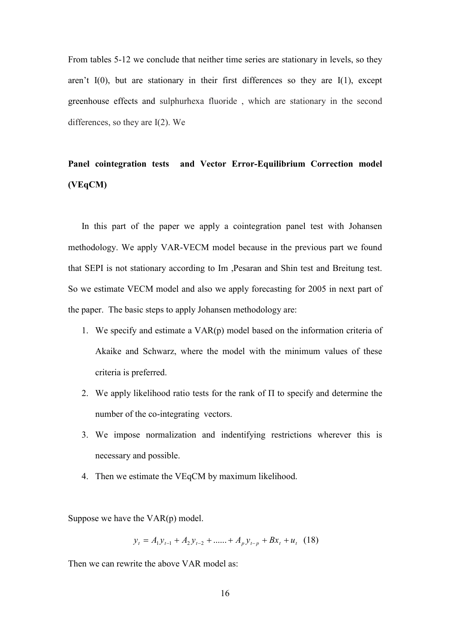From tables 5-12 we conclude that neither time series are stationary in levels, so they aren't  $I(0)$ , but are stationary in their first differences so they are  $I(1)$ , except greenhouse effects and sulphurhexa fluoride, which are stationary in the second differences, so they are  $I(2)$ . We

## Panel cointegration tests and Vector Error-Equilibrium Correction model  $(VEqCM)$

In this part of the paper we apply a cointegration panel test with Johansen methodology. We apply VAR-VECM model because in the previous part we found that SEPI is not stationary according to Im , Pesaran and Shin test and Breitung test. So we estimate VECM model and also we apply forecasting for 2005 in next part of the paper. The basic steps to apply Johansen methodology are:

- 1. We specify and estimate a VAR(p) model based on the information criteria of Akaike and Schwarz, where the model with the minimum values of these criteria is preferred.
- 2. We apply likelihood ratio tests for the rank of  $\Pi$  to specify and determine the number of the co-integrating vectors.
- 3. We impose normalization and indentifying restrictions wherever this is necessary and possible.
- 4. Then we estimate the VEqCM by maximum likelihood.

Suppose we have the  $VAR(p) \text{ model}$ .

 $y_t = A_1 y_{t-1} + A_2 y_{t-2} + \dots + A_n y_{t-n} + B x_t + u_t$  (18)

Then we can rewrite the above VAR model as: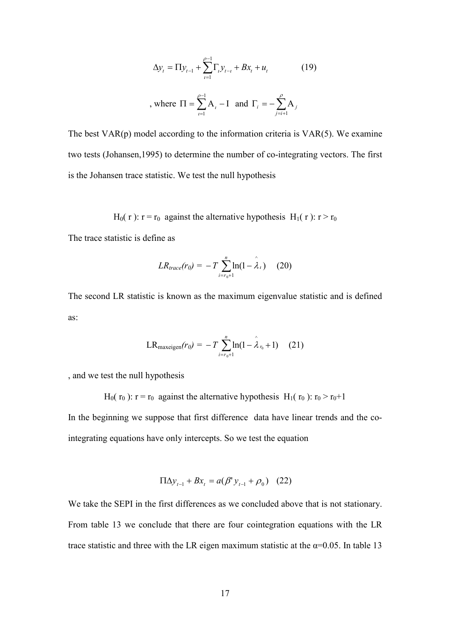$$
\Delta y_{t} = \Pi y_{t-1} + \sum_{t=1}^{\rho-1} \Gamma_{t} y_{t-t} + B x_{t} + u_{t}
$$
 (19)  
where  $\Pi = \sum_{t=1}^{\rho-1} A_{t} - I$  and  $\Gamma_{t} = -\sum_{j=t+1}^{\rho} A_{j}$ 

The best  $VAR(p)$  model according to the information criteria is  $VAR(5)$ . We examine two tests (Johansen, 1995) to determine the number of co-integrating vectors. The first is the Johansen trace statistic. We test the null hypothesis

H<sub>0</sub>(r):  $r = r_0$  against the alternative hypothesis H<sub>1</sub>(r):  $r > r_0$ 

The trace statistic is define as

$$
LR_{trace}(r_0) = -T \sum_{i=r_0+1}^{n} \ln(1-\hat{\lambda}_i) \quad (20)
$$

The second LR statistic is known as the maximum eigenvalue statistic and is defined as:

$$
LR_{\text{maxeigen}}(r_0) = -T \sum_{i=r_0+1}^{n} \ln(1 - \hat{\lambda}_{r_0} + 1) \quad (21)
$$

, and we test the null hypothesis

H<sub>0</sub>( $r_0$ ):  $r = r_0$  against the alternative hypothesis H<sub>1</sub>( $r_0$ ):  $r_0 > r_0+1$ 

In the beginning we suppose that first difference data have linear trends and the cointegrating equations have only intercepts. So we test the equation

$$
\Pi \Delta y_{t-1} + Bx_t = a(\beta' y_{t-1} + \rho_0) \quad (22)
$$

We take the SEPI in the first differences as we concluded above that is not stationary. From table 13 we conclude that there are four cointegration equations with the LR trace statistic and three with the LR eigen maximum statistic at the  $\alpha$ =0.05. In table 13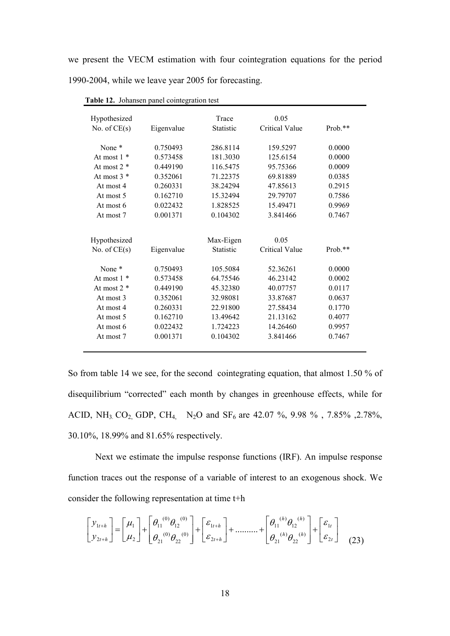we present the VECM estimation with four cointegration equations for the period 1990-2004, while we leave year 2005 for forecasting.

| Hypothesized<br>No. of $CE(s)$ | Eigenvalue | Trace<br>Statistic | 0.05<br><b>Critical Value</b> | $Prob.**$ |
|--------------------------------|------------|--------------------|-------------------------------|-----------|
|                                |            |                    |                               |           |
| None <sup>*</sup>              | 0.750493   | 286.8114           | 159.5297                      | 0.0000    |
| At most $1 *$                  | 0.573458   | 181.3030           | 125.6154                      | 0.0000    |
| At most $2 *$                  | 0.449190   | 116.5475           | 95.75366                      | 0.0009    |
| At most $3 *$                  | 0.352061   | 71.22375           | 69.81889                      | 0.0385    |
| At most 4                      | 0.260331   | 38.24294           | 47.85613                      | 0.2915    |
| At most 5                      | 0.162710   | 15.32494           | 29.79707                      | 0.7586    |
| At most 6                      | 0.022432   | 1.828525           | 15.49471                      | 0.9969    |
| At most 7                      | 0.001371   | 0.104302           | 3.841466                      | 0.7467    |
|                                |            |                    |                               |           |
| Hypothesized                   |            | Max-Eigen          | 0.05                          |           |
| No. of $CE(s)$                 | Eigenvalue | <b>Statistic</b>   | <b>Critical Value</b>         | $Prob.**$ |
|                                |            |                    |                               |           |
| None *                         | 0.750493   | 105.5084           | 52.36261                      | 0.0000    |
| At most $1 *$                  | 0.573458   | 64.75546           | 46.23142                      | 0.0002    |
| At most $2 *$                  | 0.449190   | 45.32380           | 40.07757                      | 0.0117    |
| At most 3                      | 0.352061   | 32.98081           | 33.87687                      | 0.0637    |
| At most 4                      | 0.260331   | 22.91800           | 27.58434                      | 0.1770    |
| At most 5                      | 0.162710   | 13.49642           | 21.13162                      | 0.4077    |
| At most 6                      | 0.022432   | 1.724223           | 14.26460                      | 0.9957    |
| At most 7                      | 0.001371   | 0.104302           | 3.841466                      | 0.7467    |
|                                |            |                    |                               |           |

Table 12. Johansen panel cointegration test

So from table 14 we see, for the second cointegrating equation, that almost 1.50 % of disequilibrium "corrected" each month by changes in greenhouse effects, while for ACID, NH<sub>3</sub>, CO<sub>2</sub>, GDP, CH<sub>4</sub>, N<sub>2</sub>O and SF<sub>6</sub> are 42.07 %, 9.98 %, 7.85%, 2.78%, 30.10%, 18.99% and 81.65% respectively.

Next we estimate the impulse response functions (IRF). An impulse response function traces out the response of a variable of interest to an exogenous shock. We consider the following representation at time t+h

$$
\begin{bmatrix} y_{1t+h} \\ y_{2t+h} \end{bmatrix} = \begin{bmatrix} \mu_1 \\ \mu_2 \end{bmatrix} + \begin{bmatrix} \theta_{11}^{(0)}\theta_{12}^{(0)} \\ \theta_{21}^{(0)}\theta_{22}^{(0)} \end{bmatrix} + \begin{bmatrix} \varepsilon_{1t+h} \\ \varepsilon_{2t+h} \end{bmatrix} + \dots + \begin{bmatrix} \theta_{11}^{(h)}\theta_{12}^{(h)} \\ \theta_{21}^{(h)}\theta_{22}^{(h)} \end{bmatrix} + \begin{bmatrix} \varepsilon_{1t} \\ \varepsilon_{2t} \end{bmatrix}
$$
 (23)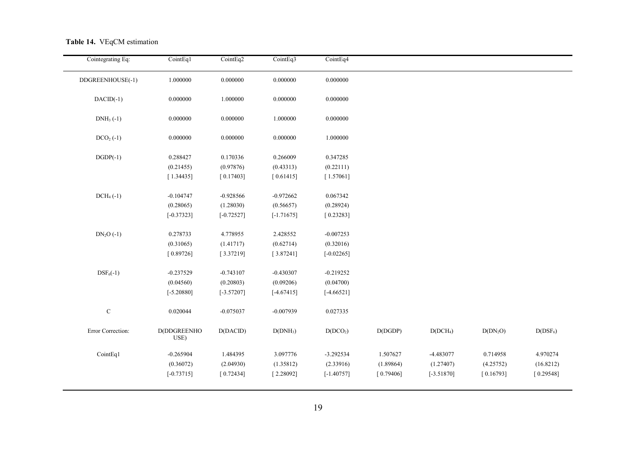|  |  | Table 14. VEqCM estimation |
|--|--|----------------------------|
|--|--|----------------------------|

| Cointegrating Eq: | CointEq1            | CointEq2     | CointEq3             | CointEq4             |           |                      |            |            |
|-------------------|---------------------|--------------|----------------------|----------------------|-----------|----------------------|------------|------------|
| DDGREENHOUSE(-1)  | 1.000000            | 0.000000     | 0.000000             | 0.000000             |           |                      |            |            |
| $DACID(-1)$       | 0.000000            | 1.000000     | 0.000000             | 0.000000             |           |                      |            |            |
| $DNH_3(-1)$       | 0.000000            | 0.000000     | 1.000000             | 0.000000             |           |                      |            |            |
| $DCO2(-1)$        | 0.000000            | 0.000000     | 0.000000             | 1.000000             |           |                      |            |            |
| $DGDP(-1)$        | 0.288427            | 0.170336     | 0.266009             | 0.347285             |           |                      |            |            |
|                   | (0.21455)           | (0.97876)    | (0.43313)            | (0.22111)            |           |                      |            |            |
|                   | [1.34435]           | [0.17403]    | [0.61415]            | [1.57061]            |           |                      |            |            |
| $DCH4(-1)$        | $-0.104747$         | $-0.928566$  | $-0.972662$          | 0.067342             |           |                      |            |            |
|                   | (0.28065)           | (1.28030)    | (0.56657)            | (0.28924)            |           |                      |            |            |
|                   | $[-0.37323]$        | $[-0.72527]$ | $[-1.71675]$         | [0.23283]            |           |                      |            |            |
| $DN_2O(-1)$       | 0.278733            | 4.778955     | 2.428552             | $-0.007253$          |           |                      |            |            |
|                   | (0.31065)           | (1.41717)    | (0.62714)            | (0.32016)            |           |                      |            |            |
|                   | [0.89726]           | [3.37219]    | [3.87241]            | $[-0.02265]$         |           |                      |            |            |
| $DSF_6(-1)$       | $-0.237529$         | $-0.743107$  | $-0.430307$          | $-0.219252$          |           |                      |            |            |
|                   | (0.04560)           | (0.20803)    | (0.09206)            | (0.04700)            |           |                      |            |            |
|                   | $[-5.20880]$        | $[-3.57207]$ | $[-4.67415]$         | $[-4.66521]$         |           |                      |            |            |
| $\mathbf C$       | 0.020044            | $-0.075037$  | $-0.007939$          | 0.027335             |           |                      |            |            |
| Error Correction: | D(DDGREENHO<br>USE) | D(DACID)     | D(DNH <sub>3</sub> ) | D(DCO <sub>2</sub> ) | D(DGDP)   | D(DCH <sub>4</sub> ) | $D(DN_2O)$ | $D(DSF_6)$ |
| CointEq1          | $-0.265904$         | 1.484395     | 3.097776             | $-3.292534$          | 1.507627  | -4.483077            | 0.714958   | 4.970274   |
|                   | (0.36072)           | (2.04930)    | (1.35812)            | (2.33916)            | (1.89864) | (1.27407)            | (4.25752)  | (16.8212)  |
|                   | $[-0.73715]$        | [0.72434]    | [2.28092]            | $[-1.40757]$         | [0.79406] | $[-3.51870]$         | [0.16793]  | [0.29548]  |
|                   |                     |              |                      |                      |           |                      |            |            |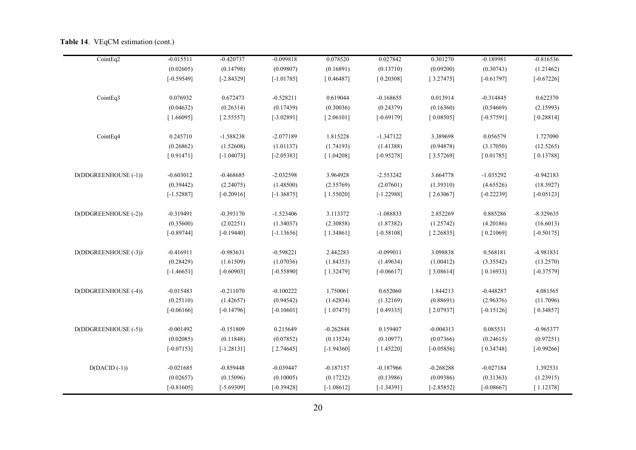|  |  | <b>Table 14.</b> VEqCM estimation (cont.) |  |  |
|--|--|-------------------------------------------|--|--|
|--|--|-------------------------------------------|--|--|

| CointEq2             | $-0.015511$  | $-0.420737$  | $-0.099818$  | 0.078520     | 0.027842     | 0.301270     | $-0.189981$  | $-0.816536$  |  |
|----------------------|--------------|--------------|--------------|--------------|--------------|--------------|--------------|--------------|--|
|                      | (0.02605)    | (0.14798)    | (0.09807)    | (0.16891)    | (0.13710)    | (0.09200)    | (0.30743)    | (1.21462)    |  |
|                      | $[-0.59549]$ | $[-2.84329]$ | $[-1.01785]$ | [0.46487]    | [0.20308]    | [3.27475]    | $[-0.61797]$ | $[-0.67226]$ |  |
| CointEq3             | 0.076932     | 0.672473     | $-0.528211$  | 0.619044     | $-0.168655$  | 0.013914     | $-0.314845$  | 0.622370     |  |
|                      | (0.04632)    | (0.26314)    | (0.17439)    | (0.30036)    | (0.24379)    | (0.16360)    | (0.54669)    | (2.15993)    |  |
|                      | [1.66095]    | [2.55557]    | $[-3.02891]$ | [2.06101]    | $[-0.69179]$ | [0.08505]    | $[-0.57591]$ | [0.28814]    |  |
| CointEq4             | 0.245710     | $-1.588238$  | $-2.077189$  | 1.815228     | $-1.347122$  | 3.389698     | 0.056579     | 1.727090     |  |
|                      | (0.26862)    | (1.52608)    | (1.01137)    | (1.74193)    | (1.41388)    | (0.94878)    | (3.17050)    | (12.5265)    |  |
|                      | [0.91471]    | $[-1.04073]$ | $[-2.05383]$ | [1.04208]    | $[-0.95278]$ | [3.57269]    | [0.01785]    | [0.13788]    |  |
| D(DDGREENHOUSE (-1)) | $-0.603012$  | $-0.468685$  | $-2.032598$  | 3.964928     | $-2.553242$  | 3.664778     | $-1.035292$  | $-0.942183$  |  |
|                      | (0.39442)    | (2.24075)    | (1.48500)    | (2.55769)    | (2.07601)    | (1.39310)    | (4.65526)    | (18.3927)    |  |
|                      | $[-1.52887]$ | $[-0.20916]$ | $[-1.36875]$ | [1.55020]    | $[-1.22988]$ | [2.63067]    | $[-0.22239]$ | $[-0.05123]$ |  |
| D(DDGREENHOUSE (-2)) | $-0.319491$  | $-0.393170$  | $-1.523406$  | 3.113372     | $-1.088833$  | 2.852269     | 0.885286     | $-8.329635$  |  |
|                      | (0.35600)    | (2.02251)    | (1.34037)    | (2.30858)    | (1.87382)    | (1.25742)    | (4.20186)    | (16.6013)    |  |
|                      | $[-0.89744]$ | $[-0.19440]$ | $[-1.13656]$ | [1.34861]    | $[-0.58108]$ | [2.26835]    | [0.21069]    | $[-0.50175]$ |  |
| D(DDGREENHOUSE (-3)) | $-0.416911$  | $-0.983631$  | $-0.598221$  | 2.442283     | $-0.099011$  | 3.098838     | 0.568181     | -4.981831    |  |
|                      | (0.28429)    | (1.61509)    | (1.07036)    | (1.84353)    | (1.49634)    | (1.00412)    | (3.35542)    | (13.2570)    |  |
|                      | $[-1.46651]$ | $[-0.60903]$ | $[-0.55890]$ | [1.32479]    | $[-0.06617]$ | [3.08614]    | [0.16933]    | $[-0.37579]$ |  |
| D(DDGREENHOUSE (-4)) | $-0.015483$  | $-0.211070$  | $-0.100222$  | 1.750061     | 0.652060     | 1.844213     | $-0.448287$  | 4.081565     |  |
|                      | (0.25110)    | (1.42657)    | (0.94542)    | (1.62834)    | (1.32169)    | (0.88691)    | (2.96376)    | (11.7096)    |  |
|                      | $[-0.06166]$ | $[-0.14796]$ | $[-0.10601]$ | [1.07475]    | [0.49335]    | [2.07937]    | $[-0.15126]$ | [0.34857]    |  |
| D(DDGREENHOUSE (-5)) | $-0.001492$  | $-0.151809$  | 0.215649     | $-0.262848$  | 0.159407     | $-0.004313$  | 0.085531     | $-0.965377$  |  |
|                      | (0.02085)    | (0.11848)    | (0.07852)    | (0.13524)    | (0.10977)    | (0.07366)    | (0.24615)    | (0.97251)    |  |
|                      | $[-0.07153]$ | $[-1.28131]$ | [2.74645]    | $[-1.94360]$ | [1.45220]    | $[-0.05856]$ | [0.34748]    | $[-0.99266]$ |  |
| $D(DACID (-1))$      | $-0.021685$  | $-0.859448$  | $-0.039447$  | $-0.187157$  | $-0.187966$  | $-0.268288$  | $-0.027184$  | 1.392531     |  |
|                      | (0.02657)    | (0.15096)    | (0.10005)    | (0.17232)    | (0.13986)    | (0.09386)    | (0.31363)    | (1.23915)    |  |
|                      | $[-0.81605]$ | $[-5.69309]$ | $[-0.39428]$ | $[-1.08612]$ | $[-1.34391]$ | $[-2.85852]$ | $[-0.08667]$ | [1.12378]    |  |
|                      |              |              |              |              |              |              |              |              |  |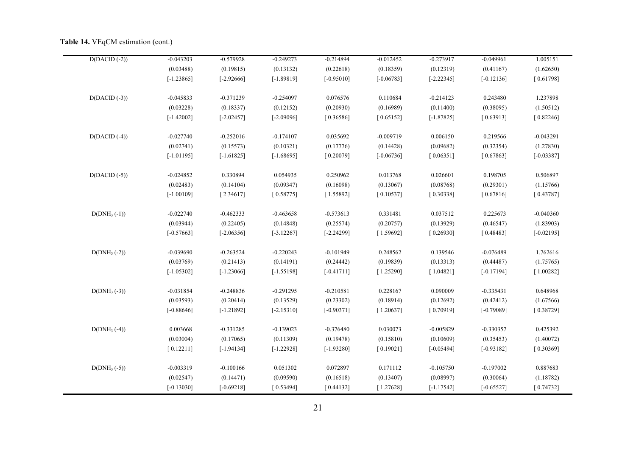#### Table 14. VEqCM estimation (cont.)

| $D(DACID (-2))$ | $-0.043203$  | $-0.579928$  | $-0.249273$  | $-0.214894$  | $-0.012452$  | $-0.273917$  | $-0.049961$  | 1.005151     |
|-----------------|--------------|--------------|--------------|--------------|--------------|--------------|--------------|--------------|
|                 | (0.03488)    | (0.19815)    | (0.13132)    | (0.22618)    | (0.18359)    | (0.12319)    | (0.41167)    | (1.62650)    |
|                 | $[-1.23865]$ | $[-2.92666]$ | $[-1.89819]$ | $[-0.95010]$ | $[-0.06783]$ | $[-2.22345]$ | $[-0.12136]$ | [0.61798]    |
| $D(DACID (-3))$ | $-0.045833$  | $-0.371239$  | $-0.254097$  | 0.076576     | 0.110684     | $-0.214123$  | 0.243480     | 1.237898     |
|                 | (0.03228)    | (0.18337)    | (0.12152)    | (0.20930)    | (0.16989)    | (0.11400)    | (0.38095)    | (1.50512)    |
|                 | $[-1.42002]$ | $[-2.02457]$ | $[-2.09096]$ | [0.36586]    | [0.65152]    | $[-1.87825]$ | [0.63913]    | [0.82246]    |
| $D(DACID (-4))$ | $-0.027740$  | $-0.252016$  | $-0.174107$  | 0.035692     | $-0.009719$  | 0.006150     | 0.219566     | $-0.043291$  |
|                 | (0.02741)    | (0.15573)    | (0.10321)    | (0.17776)    | (0.14428)    | (0.09682)    | (0.32354)    | (1.27830)    |
|                 | $[-1.01195]$ | $[-1.61825]$ | $[-1.68695]$ | [0.20079]    | $[-0.06736]$ | [0.06351]    | [0.67863]    | $[-0.03387]$ |
| $D(DACID (-5))$ | $-0.024852$  | 0.330894     | 0.054935     | 0.250962     | 0.013768     | 0.026601     | 0.198705     | 0.506897     |
|                 | (0.02483)    | (0.14104)    | (0.09347)    | (0.16098)    | (0.13067)    | (0.08768)    | (0.29301)    | (1.15766)    |
|                 | $[-1.00109]$ | [2.34617]    | [0.58775]    | [1.55892]    | [0.10537]    | [0.30338]    | [0.67816]    | [0.43787]    |
| $D(DNH3(-1))$   | $-0.022740$  | $-0.462333$  | $-0.463658$  | $-0.573613$  | 0.331481     | 0.037512     | 0.225673     | $-0.040360$  |
|                 | (0.03944)    | (0.22405)    | (0.14848)    | (0.25574)    | (0.20757)    | (0.13929)    | (0.46547)    | (1.83903)    |
|                 | $[-0.57663]$ | $[-2.06356]$ | $[-3.12267]$ | $[-2.24299]$ | [1.59692]    | [0.26930]    | [0.48483]    | $[-0.02195]$ |
| $D(DNH3(-2))$   | $-0.039690$  | $-0.263524$  | $-0.220243$  | $-0.101949$  | 0.248562     | 0.139546     | $-0.076489$  | 1.762616     |
|                 | (0.03769)    | (0.21413)    | (0.14191)    | (0.24442)    | (0.19839)    | (0.13313)    | (0.44487)    | (1.75765)    |
|                 | $[-1.05302]$ | $[-1.23066]$ | $[-1.55198]$ | $[-0.41711]$ | [1.25290]    | [1.04821]    | $[-0.17194]$ | [1.00282]    |
| $D(DNH3(-3))$   | $-0.031854$  | $-0.248836$  | $-0.291295$  | $-0.210581$  | 0.228167     | 0.090009     | $-0.335431$  | 0.648968     |
|                 | (0.03593)    | (0.20414)    | (0.13529)    | (0.23302)    | (0.18914)    | (0.12692)    | (0.42412)    | (1.67566)    |
|                 | $[-0.88646]$ | $[-1.21892]$ | $[-2.15310]$ | $[-0.90371]$ | [1.20637]    | [0.70919]    | $[-0.79089]$ | [0.38729]    |
| $D(DNH3(-4))$   | 0.003668     | $-0.331285$  | $-0.139023$  | $-0.376480$  | 0.030073     | $-0.005829$  | $-0.330357$  | 0.425392     |
|                 | (0.03004)    | (0.17065)    | (0.11309)    | (0.19478)    | (0.15810)    | (0.10609)    | (0.35453)    | (1.40072)    |
|                 | [0.12211]    | $[-1.94134]$ | $[-1.22928]$ | $[-1.93280]$ | [0.19021]    | $[-0.05494]$ | $[-0.93182]$ | [0.30369]    |
| $D(DNH3(-5))$   | $-0.003319$  | $-0.100166$  | 0.051302     | 0.072897     | 0.171112     | $-0.105750$  | $-0.197002$  | 0.887683     |
|                 | (0.02547)    | (0.14471)    | (0.09590)    | (0.16518)    | (0.13407)    | (0.08997)    | (0.30064)    | (1.18782)    |
|                 | $[-0.13030]$ | $[-0.69218]$ | [0.53494]    | [0.44132]    | [1.27628]    | $[-1.17542]$ | $[-0.65527]$ | [0.74732]    |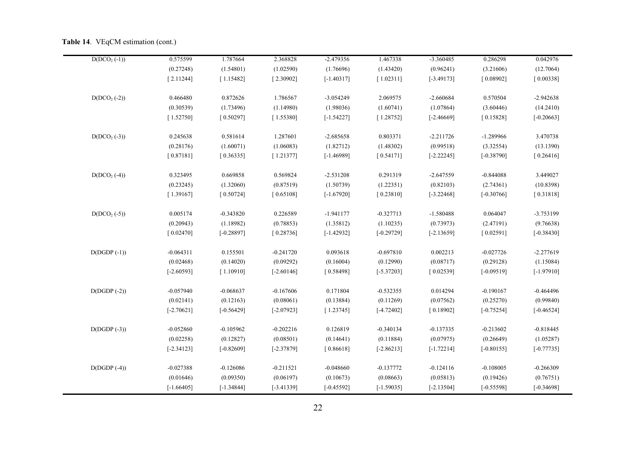|  | <b>Table 14.</b> VEqCM estimation (cont.) |  |  |
|--|-------------------------------------------|--|--|
|--|-------------------------------------------|--|--|

| $D(DCO2(-1))$ | 0.575599     | 1.787664     | 2.368828     | $-2.479356$  | 1.467338     | -3.360485    | 0.286298     | 0.042976     |
|---------------|--------------|--------------|--------------|--------------|--------------|--------------|--------------|--------------|
|               | (0.27248)    | (1.54801)    | (1.02590)    | (1.76696)    | (1.43420)    | (0.96241)    | (3.21606)    | (12.7064)    |
|               | [2.11244]    | [1.15482]    | [2.30902]    | $[-1.40317]$ | [1.02311]    | $[-3.49173]$ | [0.08902]    | [0.00338]    |
| $D(DCO2(-2))$ | 0.466480     | 0.872626     | 1.786567     | $-3.054249$  | 2.069575     | $-2.660684$  | 0.570504     | $-2.942638$  |
|               | (0.30539)    | (1.73496)    | (1.14980)    | (1.98036)    | (1.60741)    | (1.07864)    | (3.60446)    | (14.2410)    |
|               | [1.52750]    | [0.50297]    | [1.55380]    | $[-1.54227]$ | [1.28752]    | $[-2.46669]$ | [0.15828]    | $[-0.20663]$ |
| $D(DCO2(-3))$ | 0.245638     | 0.581614     | 1.287601     | $-2.685658$  | 0.803371     | $-2.211726$  | $-1.289966$  | 3.470738     |
|               | (0.28176)    | (1.60071)    | (1.06083)    | (1.82712)    | (1.48302)    | (0.99518)    | (3.32554)    | (13.1390)    |
|               | [0.87181]    | [0.36335]    | [1.21377]    | $[-1.46989]$ | [0.54171]    | $[-2.22245]$ | $[-0.38790]$ | [0.26416]    |
| $D(DCO2(-4))$ | 0.323495     | 0.669858     | 0.569824     | $-2.531208$  | 0.291319     | $-2.647559$  | $-0.844088$  | 3.449027     |
|               | (0.23245)    | (1.32060)    | (0.87519)    | (1.50739)    | (1.22351)    | (0.82103)    | (2.74361)    | (10.8398)    |
|               | [1.39167]    | [0.50724]    | [0.65108]    | $[-1.67920]$ | [0.23810]    | $[-3.22468]$ | $[-0.30766]$ | [0.31818]    |
| $D(DCO2(-5))$ | 0.005174     | $-0.343820$  | 0.226589     | $-1.941177$  | $-0.327713$  | $-1.580488$  | 0.064047     | $-3.753199$  |
|               | (0.20943)    | (1.18982)    | (0.78853)    | (1.35812)    | (1.10235)    | (0.73973)    | (2.47191)    | (9.76638)    |
|               | [0.02470]    | $[-0.28897]$ | [0.28736]    | $[-1.42932]$ | $[-0.29729]$ | $[-2.13659]$ | [0.02591]    | $[-0.38430]$ |
| $D(DGDP(-1))$ | $-0.064311$  | 0.155501     | $-0.241720$  | 0.093618     | $-0.697810$  | 0.002213     | $-0.027726$  | $-2.277619$  |
|               | (0.02468)    | (0.14020)    | (0.09292)    | (0.16004)    | (0.12990)    | (0.08717)    | (0.29128)    | (1.15084)    |
|               | $[-2.60593]$ | [1.10910]    | $[-2.60146]$ | [0.58498]    | $[-5.37203]$ | [0.02539]    | $[-0.09519]$ | $[-1.97910]$ |
| $D(DGDP(-2))$ | $-0.057940$  | $-0.068637$  | $-0.167606$  | 0.171804     | $-0.532355$  | 0.014294     | $-0.190167$  | $-0.464496$  |
|               | (0.02141)    | (0.12163)    | (0.08061)    | (0.13884)    | (0.11269)    | (0.07562)    | (0.25270)    | (0.99840)    |
|               | $[-2.70621]$ | $[-0.56429]$ | $[-2.07923]$ | [1.23745]    | $[-4.72402]$ | [0.18902]    | $[-0.75254]$ | $[-0.46524]$ |
| $D(DGDP(-3))$ | $-0.052860$  | $-0.105962$  | $-0.202216$  | 0.126819     | $-0.340134$  | $-0.137335$  | $-0.213602$  | $-0.818445$  |
|               | (0.02258)    | (0.12827)    | (0.08501)    | (0.14641)    | (0.11884)    | (0.07975)    | (0.26649)    | (1.05287)    |
|               | $[-2.34123]$ | $[-0.82609]$ | $[-2.37879]$ | [0.86618]    | $[-2.86213]$ | $[-1.72214]$ | $[-0.80155]$ | $[-0.77735]$ |
| $D(DGDP(-4))$ | $-0.027388$  | $-0.126086$  | $-0.211521$  | $-0.048660$  | $-0.137772$  | $-0.124116$  | $-0.108005$  | $-0.266309$  |
|               | (0.01646)    | (0.09350)    | (0.06197)    | (0.10673)    | (0.08663)    | (0.05813)    | (0.19426)    | (0.76751)    |
|               | $[-1.66405]$ | $[-1.34844]$ | $[-3.41339]$ | $[-0.45592]$ | $[-1.59035]$ | $[-2.13504]$ | $[-0.55598]$ | $[-0.34698]$ |
|               |              |              |              |              |              |              |              |              |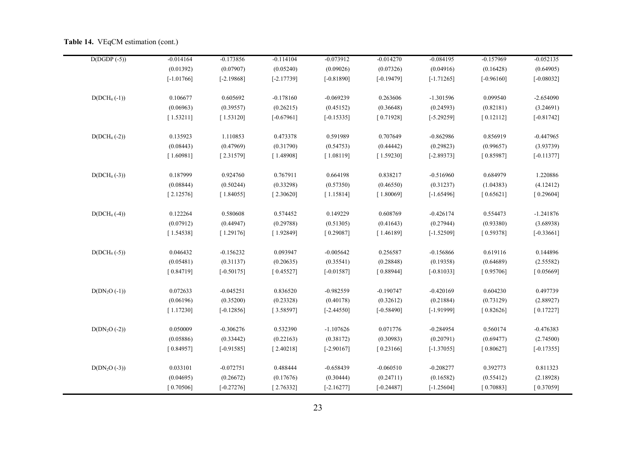| $D(DGDP(-5))$  | $-0.014164$  | $-0.173856$  | $-0.114104$  | $-0.073912$  | $-0.014270$  | $-0.084195$  | $-0.157969$  | $-0.052135$  |
|----------------|--------------|--------------|--------------|--------------|--------------|--------------|--------------|--------------|
|                | (0.01392)    | (0.07907)    | (0.05240)    | (0.09026)    | (0.07326)    | (0.04916)    | (0.16428)    | (0.64905)    |
|                | $[-1.01766]$ | $[-2.19868]$ | $[-2.17739]$ | $[-0.81890]$ | $[-0.19479]$ | $[-1.71265]$ | $[-0.96160]$ | $[-0.08032]$ |
| $D(DCH_4(-1))$ | 0.106677     | 0.605692     | $-0.178160$  | $-0.069239$  | 0.263606     | $-1.301596$  | 0.099540     | $-2.654090$  |
|                | (0.06963)    | (0.39557)    | (0.26215)    | (0.45152)    | (0.36648)    | (0.24593)    | (0.82181)    | (3.24691)    |
|                | [1.53211]    | [1.53120]    | $[-0.67961]$ | $[-0.15335]$ | [0.71928]    | $[-5.29259]$ | [0.12112]    | $[-0.81742]$ |
| $D(DCH4(-2))$  | 0.135923     | 1.110853     | 0.473378     | 0.591989     | 0.707649     | $-0.862986$  | 0.856919     | $-0.447965$  |
|                | (0.08443)    | (0.47969)    | (0.31790)    | (0.54753)    | (0.44442)    | (0.29823)    | (0.99657)    | (3.93739)    |
|                | [1.60981]    | [2.31579]    | [1.48908]    | [1.08119]    | [1.59230]    | $[-2.89373]$ | [0.85987]    | $[-0.11377]$ |
| $D(DCH4(-3))$  | 0.187999     | 0.924760     | 0.767911     | 0.664198     | 0.838217     | $-0.516960$  | 0.684979     | 1.220886     |
|                | (0.08844)    | (0.50244)    | (0.33298)    | (0.57350)    | (0.46550)    | (0.31237)    | (1.04383)    | (4.12412)    |
|                | [2.12576]    | [1.84055]    | [2.30620]    | [1.15814]    | [1.80069]    | $[-1.65496]$ | [0.65621]    | [0.29604]    |
| $D(DCH4(-4))$  | 0.122264     | 0.580608     | 0.574452     | 0.149229     | 0.608769     | $-0.426174$  | 0.554473     | $-1.241876$  |
|                | (0.07912)    | (0.44947)    | (0.29788)    | (0.51305)    | (0.41643)    | (0.27944)    | (0.93380)    | (3.68938)    |
|                | [1.54538]    | [1.29176]    | [1.92849]    | [0.29087]    | [1.46189]    | $[-1.52509]$ | [0.59378]    | $[-0.33661]$ |
| $D(DCH_4(-5))$ | 0.046432     | $-0.156232$  | 0.093947     | $-0.005642$  | 0.256587     | $-0.156866$  | 0.619116     | 0.144896     |
|                | (0.05481)    | (0.31137)    | (0.20635)    | (0.35541)    | (0.28848)    | (0.19358)    | (0.64689)    | (2.55582)    |
|                | [0.84719]    | $[-0.50175]$ | [0.45527]    | $[-0.01587]$ | [0.88944]    | $[-0.81033]$ | [0.95706]    | [0.05669]    |
| $D(DN2O (-1))$ | 0.072633     | $-0.045251$  | 0.836520     | $-0.982559$  | $-0.190747$  | $-0.420169$  | 0.604230     | 0.497739     |
|                | (0.06196)    | (0.35200)    | (0.23328)    | (0.40178)    | (0.32612)    | (0.21884)    | (0.73129)    | (2.88927)    |
|                | [1.17230]    | $[-0.12856]$ | [3.58597]    | $[-2.44550]$ | $[-0.58490]$ | $[-1.91999]$ | [0.82626]    | [0.17227]    |
| $D(DN2O (-2))$ | 0.050009     | $-0.306276$  | 0.532390     | $-1.107626$  | 0.071776     | $-0.284954$  | 0.560174     | $-0.476383$  |
|                | (0.05886)    | (0.33442)    | (0.22163)    | (0.38172)    | (0.30983)    | (0.20791)    | (0.69477)    | (2.74500)    |
|                | [0.84957]    | $[-0.91585]$ | [2.40218]    | $[-2.90167]$ | [0.23166]    | $[-1.37055]$ | [0.80627]    | $[-0.17355]$ |
| $D(DN2O (-3))$ | 0.033101     | $-0.072751$  | 0.488444     | $-0.658439$  | $-0.060510$  | $-0.208277$  | 0.392773     | 0.811323     |
|                | (0.04695)    | (0.26672)    | (0.17676)    | (0.30444)    | (0.24711)    | (0.16582)    | (0.55412)    | (2.18928)    |
|                | [0.70506]    | $[-0.27276]$ | [2.76332]    | $[-2.16277]$ | $[-0.24487]$ | $[-1.25604]$ | [0.70883]    | [0.37059]    |
|                |              |              |              |              |              |              |              |              |

#### Table 14. VEqCM estimation (cont.)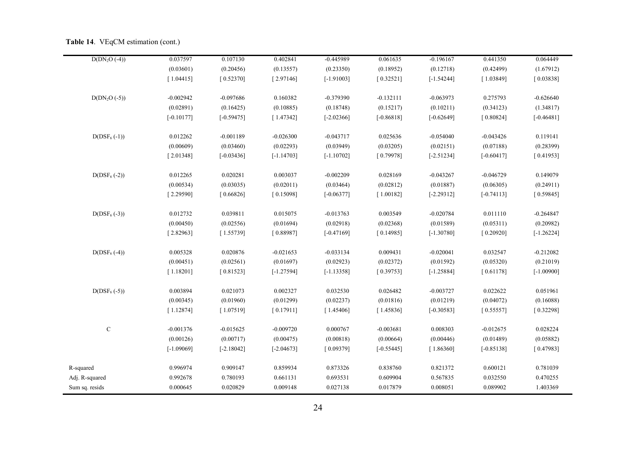| $D(DN_2O(-4))$  | 0.037597     | 0.107130     | 0.402841     | $-0.445989$  | 0.061635     | $-0.196167$  | 0.441350     | 0.064449     |
|-----------------|--------------|--------------|--------------|--------------|--------------|--------------|--------------|--------------|
|                 | (0.03601)    | (0.20456)    | (0.13557)    | (0.23350)    | (0.18952)    | (0.12718)    | (0.42499)    | (1.67912)    |
|                 | [1.04415]    | [0.52370]    | [2.97146]    | $[-1.91003]$ | [0.32521]    | $[-1.54244]$ | [1.03849]    | [0.03838]    |
|                 |              |              |              |              |              |              |              |              |
| $D(DN2O (-5))$  | $-0.002942$  | $-0.097686$  | 0.160382     | $-0.379390$  | $-0.132111$  | $-0.063973$  | 0.275793     | $-0.626640$  |
|                 | (0.02891)    | (0.16425)    | (0.10885)    | (0.18748)    | (0.15217)    | (0.10211)    | (0.34123)    | (1.34817)    |
|                 | $[-0.10177]$ | $[-0.59475]$ | [1.47342]    | $[-2.02366]$ | $[-0.86818]$ | $[-0.62649]$ | [0.80824]    | $[-0.46481]$ |
|                 |              |              |              |              |              |              |              |              |
| $D(DSF_6(-1))$  | 0.012262     | $-0.001189$  | $-0.026300$  | $-0.043717$  | 0.025636     | $-0.054040$  | $-0.043426$  | 0.119141     |
|                 | (0.00609)    | (0.03460)    | (0.02293)    | (0.03949)    | (0.03205)    | (0.02151)    | (0.07188)    | (0.28399)    |
|                 | [2.01348]    | $[-0.03436]$ | $[-1.14703]$ | $[-1.10702]$ | [0.79978]    | $[-2.51234]$ | $[-0.60417]$ | [0.41953]    |
|                 |              |              |              |              |              |              |              |              |
| $D(DSF_6 (-2))$ | 0.012265     | 0.020281     | 0.003037     | $-0.002209$  | 0.028169     | $-0.043267$  | $-0.046729$  | 0.149079     |
|                 | (0.00534)    | (0.03035)    | (0.02011)    | (0.03464)    | (0.02812)    | (0.01887)    | (0.06305)    | (0.24911)    |
|                 | [2.29590]    | [0.66826]    | [0.15098]    | $[-0.06377]$ | [1.00182]    | $[-2.29312]$ | $[-0.74113]$ | [0.59845]    |
|                 |              |              |              |              |              |              |              |              |
| $D(DSF_6(-3))$  | 0.012732     | 0.039811     | 0.015075     | $-0.013763$  | 0.003549     | $-0.020784$  | 0.011110     | $-0.264847$  |
|                 | (0.00450)    | (0.02556)    | (0.01694)    | (0.02918)    | (0.02368)    | (0.01589)    | (0.05311)    | (0.20982)    |
|                 | [2.82963]    | [1.55739]    | [0.88987]    | $[-0.47169]$ | [0.14985]    | $[-1.30780]$ | [0.20920]    | $[-1.26224]$ |
|                 |              |              |              |              |              |              |              |              |
| $D(DSF_6(-4))$  | 0.005328     | 0.020876     | $-0.021653$  | $-0.033134$  | 0.009431     | $-0.020041$  | 0.032547     | $-0.212082$  |
|                 | (0.00451)    | (0.02561)    | (0.01697)    | (0.02923)    | (0.02372)    | (0.01592)    | (0.05320)    | (0.21019)    |
|                 | [1.18201]    | [0.81523]    | $[-1.27594]$ | $[-1.13358]$ | [0.39753]    | $[-1.25884]$ | [0.61178]    | $[-1.00900]$ |
|                 |              |              |              |              |              |              |              |              |
| $D(DSF_6(-5))$  | 0.003894     | 0.021073     | 0.002327     | 0.032530     | 0.026482     | $-0.003727$  | 0.022622     | 0.051961     |
|                 | (0.00345)    | (0.01960)    | (0.01299)    | (0.02237)    | (0.01816)    | (0.01219)    | (0.04072)    | (0.16088)    |
|                 | [1.12874]    | [1.07519]    | [0.17911]    | [1.45406]    | [1.45836]    | $[-0.30583]$ | [0.55557]    | [0.32298]    |
|                 |              |              |              |              |              |              |              |              |
| ${\bf C}$       | $-0.001376$  | $-0.015625$  | $-0.009720$  | 0.000767     | $-0.003681$  | 0.008303     | $-0.012675$  | 0.028224     |
|                 | (0.00126)    | (0.00717)    | (0.00475)    | (0.00818)    | (0.00664)    | (0.00446)    | (0.01489)    | (0.05882)    |
|                 | $[-1.09069]$ | $[-2.18042]$ | $[-2.04673]$ | [0.09379]    | $[-0.55445]$ | [1.86360]    | $[-0.85138]$ | [0.47983]    |
|                 |              |              |              |              |              |              |              |              |
| R-squared       | 0.996974     | 0.909147     | 0.859934     | 0.873326     | 0.838760     | 0.821372     | 0.600121     | 0.781039     |
| Adj. R-squared  | 0.992678     | 0.780193     | 0.661131     | 0.693531     | 0.609904     | 0.567835     | 0.032550     | 0.470255     |
| Sum sq. resids  | 0.000645     | 0.020829     | 0.009148     | 0.027138     | 0.017879     | 0.008051     | 0.089902     | 1.403369     |

#### Table 14. VEqCM estimation (cont.)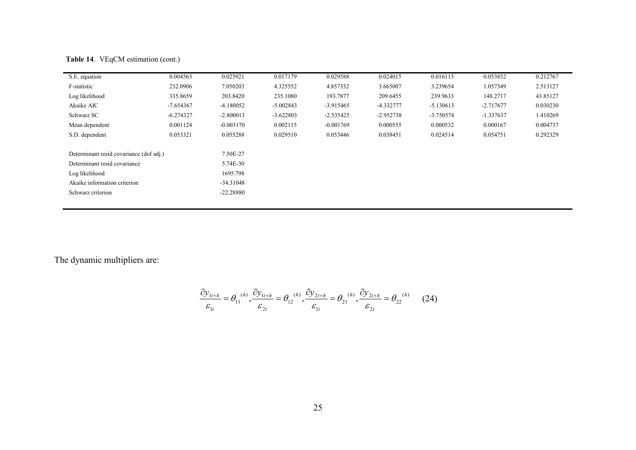| S.E. equation                           | 0.004563    | 0.025921    | 0.017179    | 0.029588    | 0.024015    | 0.016115    | 0.053852    | 0.212767 |
|-----------------------------------------|-------------|-------------|-------------|-------------|-------------|-------------|-------------|----------|
| F-statistic                             | 232.0906    | 7.050203    | 4.325552    | 4.857332    | 3.665007    | 3.239654    | 1.057349    | 2.513127 |
| Log likelihood                          | 335.8659    | 203.8420    | 235.1080    | 193.7877    | 209.6455    | 239.9633    | 148.2717    | 43.85127 |
| Akaike AIC                              | $-7.654367$ | $-4.180052$ | $-5.002843$ | $-3.915465$ | -4.332777   | $-5.130613$ | $-2.717677$ | 0.030230 |
| Schwarz SC                              | $-6.274327$ | $-2.800013$ | $-3.622803$ | $-2.535425$ | $-2.952738$ | $-3.750574$ | $-1.337637$ | 1.410269 |
| Mean dependent                          | 0.001124    | $-0.003170$ | 0.002115    | $-0.001769$ | 0.000555    | 0.000532    | 0.000167    | 0.004737 |
| S.D. dependent                          | 0.053321    | 0.055288    | 0.029510    | 0.053446    | 0.038451    | 0.024514    | 0.054751    | 0.292329 |
|                                         |             |             |             |             |             |             |             |          |
| Determinant resid covariance (dof adj.) |             | 7.50E-27    |             |             |             |             |             |          |
| Determinant resid covariance            |             | 5.74E-30    |             |             |             |             |             |          |
| Log likelihood                          |             | 1695.798    |             |             |             |             |             |          |
| Akaike information criterion            |             | $-34.31048$ |             |             |             |             |             |          |
| Schwarz criterion                       |             | $-22.28880$ |             |             |             |             |             |          |
|                                         |             |             |             |             |             |             |             |          |

Table 14. VEqCM estimation (cont.)

The dynamic multipliers are:

$$
\frac{\partial y_{1t+h}}{\varepsilon_{1t}} = \theta_{11}^{(h)}, \frac{\partial y_{1t+h}}{\varepsilon_{2t}} = \theta_{12}^{(h)}, \frac{\partial y_{2t+h}}{\varepsilon_{1t}} = \theta_{21}^{(h)}, \frac{\partial y_{2t+h}}{\varepsilon_{2t}} = \theta_{22}^{(h)} \qquad (24)
$$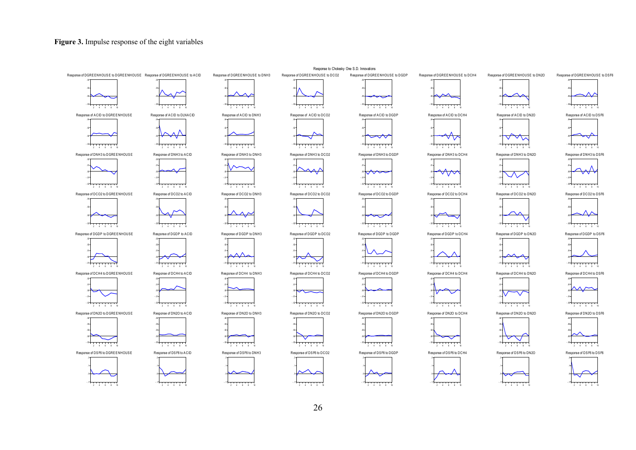## Figure 3. Impulse response of the eight variables

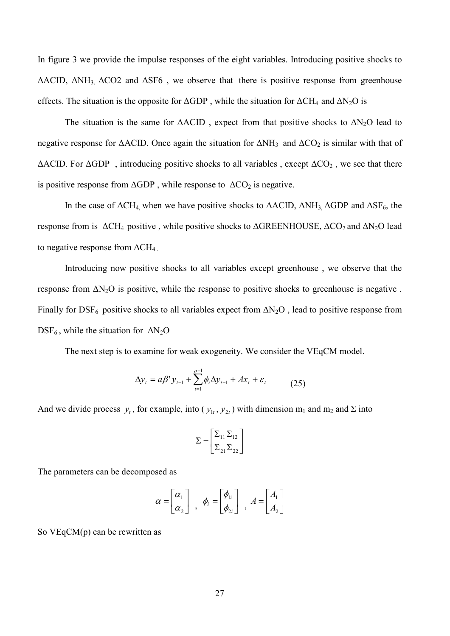In figure 3 we provide the impulse responses of the eight variables. Introducing positive shocks to  $\triangle$ ACID,  $\triangle$ NH<sub>3</sub>  $\triangle$ CO2 and  $\triangle$ SF6, we observe that there is positive response from greenhouse effects. The situation is the opposite for  $\triangle$ GDP, while the situation for  $\triangle$ CH<sub>4</sub> and  $\triangle$ N<sub>2</sub>O is

The situation is the same for  $\triangle ACID$ , expect from that positive shocks to  $\triangle N_2O$  lead to negative response for  $\triangle$ ACID. Once again the situation for  $\triangle$ NH<sub>3</sub> and  $\triangle$ CO<sub>2</sub> is similar with that of  $\triangle$ ACID. For  $\triangle$ GDP, introducing positive shocks to all variables, except  $\triangle$ CO<sub>2</sub>, we see that there is positive response from  $\triangle$ GDP, while response to  $\triangle$ CO<sub>2</sub> is negative.

In the case of  $\Delta CH_4$  when we have positive shocks to  $\Delta A CID$ ,  $\Delta N H_3$ ,  $\Delta GDP$  and  $\Delta SF_6$ , the response from is  $\Delta CH_4$  positive, while positive shocks to  $\Delta GREENHOUSE$ ,  $\Delta CO_2$  and  $\Delta N_2O$  lead to negative response from  $\Delta CH_4$ 

Introducing now positive shocks to all variables except greenhouse, we observe that the response from  $\Delta N_2O$  is positive, while the response to positive shocks to greenhouse is negative. Finally for DSF<sub>6</sub> positive shocks to all variables expect from  $\Delta N_2O$ , lead to positive response from  $DSF_6$ , while the situation for  $\Delta N_2O$ 

The next step is to examine for weak exogeneity. We consider the VEgCM model.

$$
\Delta y_t = a\beta' y_{t-1} + \sum_{i=1}^{\rho-1} \phi_i \Delta y_{t-1} + Ax_t + \varepsilon_t \tag{25}
$$

And we divide process  $y_t$ , for example, into  $(y_{1t}, y_{2t})$  with dimension  $m_1$  and  $m_2$  and  $\Sigma$  into

$$
\Sigma = \begin{bmatrix} \Sigma_{11} \Sigma_{12} \\ \Sigma_{21} \Sigma_{22} \end{bmatrix}
$$

The parameters can be decomposed as

$$
\alpha = \begin{bmatrix} \alpha_1 \\ \alpha_2 \end{bmatrix} , \phi_i = \begin{bmatrix} \phi_{1i} \\ \phi_{2i} \end{bmatrix} , A = \begin{bmatrix} A_1 \\ A_2 \end{bmatrix}
$$

So  $VEqCM(p)$  can be rewritten as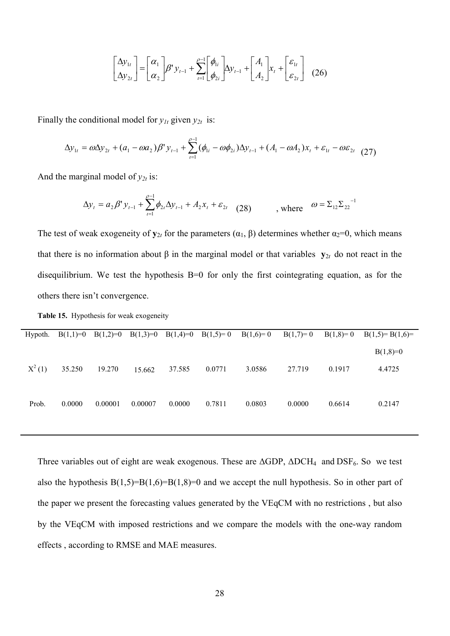$$
\begin{bmatrix} \Delta y_{1t} \\ \Delta y_{2t} \end{bmatrix} = \begin{bmatrix} \alpha_1 \\ \alpha_2 \end{bmatrix} \beta^{\dagger} y_{t-1} + \sum_{i=1}^{\rho-1} \begin{bmatrix} \phi_{1i} \\ \phi_{2i} \end{bmatrix} \Delta y_{t-1} + \begin{bmatrix} A_1 \\ A_2 \end{bmatrix} x_t + \begin{bmatrix} \varepsilon_{1t} \\ \varepsilon_{2t} \end{bmatrix} \tag{26}
$$

Finally the conditional model for  $y_{1t}$  given  $y_{2t}$  is:

$$
\Delta y_{1t} = \omega \Delta y_{2t} + (a_1 - \omega a_2) \beta' y_{t-1} + \sum_{i=1}^{\rho-1} (\phi_{1i} - \omega \phi_{2i}) \Delta y_{t-1} + (A_1 - \omega A_2) x_t + \varepsilon_{1t} - \omega \varepsilon_{2t} \tag{27}
$$

And the marginal model of  $y_{2t}$  is:

$$
\Delta y_t = a_2 \beta' y_{t-1} + \sum_{t=1}^{\rho-1} \phi_{2t} \Delta y_{t-1} + A_2 x_t + \varepsilon_{2t} \quad (28) \qquad , \text{ where } \quad \omega = \Sigma_{12} \Sigma_{22}^{-1}
$$

The test of weak exogeneity of  $y_{2t}$  for the parameters  $(\alpha_1, \beta)$  determines whether  $\alpha_2=0$ , which means that there is no information about  $\beta$  in the marginal model or that variables  $y_{2t}$  do not react in the disequilibrium. We test the hypothesis B=0 for only the first cointegrating equation, as for the others there isn't convergence.

Table 15. Hypothesis for weak exogeneity

| Hypoth.  | $B(1,1)=0$ | $B(1,2)=0$ | $B(1,3)=0$ | $B(1,4)=0$ | $B(1,5)=0$ | $B(1,6)=0$ | $B(1,7)=0$ | $B(1,8)=0$ | $B(1,5)=B(1,6)=$ |
|----------|------------|------------|------------|------------|------------|------------|------------|------------|------------------|
|          |            |            |            |            |            |            |            |            | $B(1,8)=0$       |
| $X^2(1)$ | 35.250     | 19.270     | 15.662     | 37.585     | 0.0771     | 3.0586     | 27.719     | 0.1917     | 4.4725           |
|          |            |            |            |            |            |            |            |            |                  |
| Prob.    | 0.0000     | 0.00001    | 0.00007    | 0.0000     | 0.7811     | 0.0803     | 0.0000     | 0.6614     | 0.2147           |
|          |            |            |            |            |            |            |            |            |                  |

Three variables out of eight are weak exogenous. These are  $\triangle$ GDP,  $\triangle$ DCH<sub>4</sub> and DSF<sub>6</sub>. So we test also the hypothesis  $B(1,5)=B(1,6)=B(1,8)=0$  and we accept the null hypothesis. So in other part of the paper we present the forecasting values generated by the VEqCM with no restrictions, but also by the VEqCM with imposed restrictions and we compare the models with the one-way random effects, according to RMSE and MAE measures.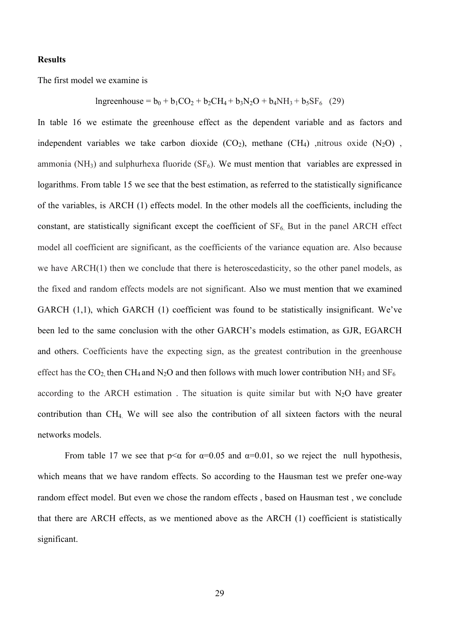## **Results**

The first model we examine is

Ingreenhouse =  $b_0 + b_1CO_2 + b_2CH_4 + b_3N_2O + b_4NH_3 + b_5SF_6$  (29)

In table 16 we estimate the greenhouse effect as the dependent variable and as factors and independent variables we take carbon dioxide  $(CO_2)$ , methane  $(CH_4)$ , nitrous oxide  $(N_2O)$ , ammonia (NH<sub>3</sub>) and sulphurhexa fluoride (SF<sub>6</sub>). We must mention that variables are expressed in logarithms. From table 15 we see that the best estimation, as referred to the statistically significance of the variables, is ARCH (1) effects model. In the other models all the coefficients, including the constant, are statistically significant except the coefficient of  $SF<sub>6</sub>$ . But in the panel ARCH effect model all coefficient are significant, as the coefficients of the variance equation are. Also because we have ARCH(1) then we conclude that there is heteroscedasticity, so the other panel models, as the fixed and random effects models are not significant. Also we must mention that we examined GARCH (1,1), which GARCH (1) coefficient was found to be statistically insignificant. We've been led to the same conclusion with the other GARCH's models estimation, as GJR, EGARCH and others. Coefficients have the expecting sign, as the greatest contribution in the greenhouse effect has the  $CO_2$  then CH<sub>4</sub> and N<sub>2</sub>O and then follows with much lower contribution NH<sub>3</sub> and SF<sub>6</sub> according to the ARCH estimation. The situation is quite similar but with  $N_2O$  have greater contribution than CH<sub>4</sub>. We will see also the contribution of all sixteen factors with the neural networks models

From table 17 we see that  $p \le \alpha$  for  $\alpha = 0.05$  and  $\alpha = 0.01$ , so we reject the null hypothesis, which means that we have random effects. So according to the Hausman test we prefer one-way random effect model. But even we chose the random effects, based on Hausman test, we conclude that there are ARCH effects, as we mentioned above as the ARCH (1) coefficient is statistically significant.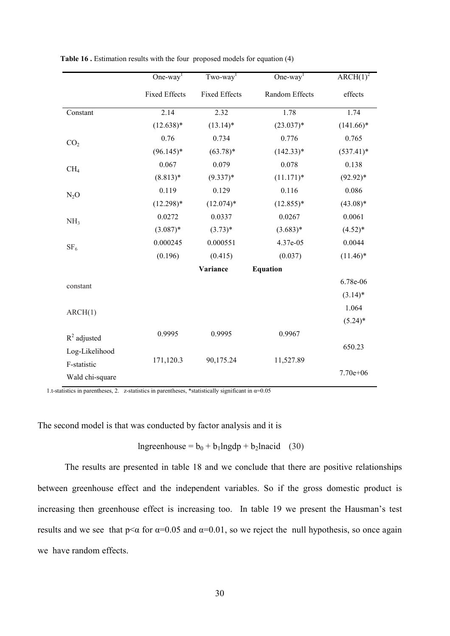|                 | One-way <sup>1</sup> | $Tw_0$ -way <sup>1</sup> | One-way <sup>1</sup> | $\overline{\text{ARCH}(1)^2}$ |
|-----------------|----------------------|--------------------------|----------------------|-------------------------------|
|                 | <b>Fixed Effects</b> | <b>Fixed Effects</b>     | Random Effects       | effects                       |
| Constant        | 2.14                 | 2.32                     | 1.78                 | 1.74                          |
|                 | $(12.638)*$          | $(13.14)^*$              | $(23.037)*$          | $(141.66)^*$                  |
| CO <sub>2</sub> | 0.76                 | 0.734                    | 0.776                | 0.765                         |
|                 | $(96.145)^*$         | $(63.78)*$               | $(142.33)*$          | $(537.41)^*$                  |
| CH <sub>4</sub> | 0.067                | 0.079                    | 0.078                | 0.138                         |
|                 | $(8.813)*$           | $(9.337)*$               | $(11.171)*$          | $(92.92)*$                    |
| $N_2O$          | 0.119                | 0.129                    | 0.116                | 0.086                         |
|                 | $(12.298)*$          | $(12.074)*$              | $(12.855)*$          | $(43.08)*$                    |
| NH <sub>3</sub> | 0.0272               | 0.0337                   | 0.0267               | 0.0061                        |
|                 | $(3.087)*$           | $(3.73)*$                | $(3.683)*$           | $(4.52)*$                     |
| SF <sub>6</sub> | 0.000245             | 0.000551                 | 4.37e-05             | 0.0044                        |
|                 | (0.196)              | (0.415)                  | (0.037)              | $(11.46)^*$                   |
|                 |                      | Variance                 | <b>Equation</b>      |                               |
| constant        |                      |                          |                      | 6.78e-06                      |
|                 |                      |                          |                      | $(3.14)^*$                    |
| ARCH(1)         |                      |                          |                      | 1.064                         |
|                 |                      |                          |                      | $(5.24)$ *                    |
| $R^2$ adjusted  | 0.9995               | 0.9995                   | 0.9967               |                               |
| Log-Likelihood  |                      |                          |                      | 650.23                        |
| F-statistic     | 171,120.3            | 90,175.24                | 11,527.89            |                               |
| Wald chi-square |                      |                          |                      | $7.70e + 06$                  |

Table 16. Estimation results with the four proposed models for equation (4)

1.t-statistics in parentheses, 2. z-statistics in parentheses, \*statistically significant in  $\alpha$ =0.05

The second model is that was conducted by factor analysis and it is

Ingreenhouse =  $b_0 + b_1$ lngdp +  $b_2$ lnacid (30)

The results are presented in table 18 and we conclude that there are positive relationships between greenhouse effect and the independent variables. So if the gross domestic product is increasing then greenhouse effect is increasing too. In table 19 we present the Hausman's test results and we see that  $p<\alpha$  for  $\alpha=0.05$  and  $\alpha=0.01$ , so we reject the null hypothesis, so once again we have random effects.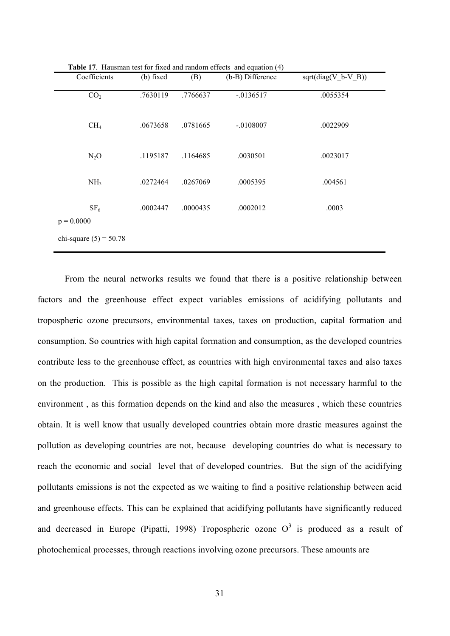| Coefficients                    | (b) fixed | (B)      | (b-B) Difference | $sqrt(diag(V_b-V_B))$ |
|---------------------------------|-----------|----------|------------------|-----------------------|
| CO <sub>2</sub>                 | .7630119  | .7766637 | $-0136517$       | .0055354              |
| CH <sub>4</sub>                 | .0673658  | .0781665 | $-.0108007$      | .0022909              |
| $N_2O$                          | .1195187  | .1164685 | .0030501         | .0023017              |
| NH <sub>3</sub>                 | .0272464  | .0267069 | .0005395         | .004561               |
| SF <sub>6</sub><br>$p = 0.0000$ | .0002447  | .0000435 | .0002012         | .0003                 |
| chi-square $(5) = 50.78$        |           |          |                  |                       |

Table 17 Hausman test for fixed and random effects and equation (4)

From the neural networks results we found that there is a positive relationship between factors and the greenhouse effect expect variables emissions of acidifying pollutants and tropospheric ozone precursors, environmental taxes, taxes on production, capital formation and consumption. So countries with high capital formation and consumption, as the developed countries contribute less to the greenhouse effect, as countries with high environmental taxes and also taxes on the production. This is possible as the high capital formation is not necessary harmful to the environment, as this formation depends on the kind and also the measures, which these countries obtain. It is well know that usually developed countries obtain more drastic measures against the pollution as developing countries are not, because developing countries do what is necessary to reach the economic and social level that of developed countries. But the sign of the acidifying pollutants emissions is not the expected as we waiting to find a positive relationship between acid and greenhouse effects. This can be explained that acidifying pollutants have significantly reduced and decreased in Europe (Pipatti, 1998) Tropospheric ozone  $O^3$  is produced as a result of photochemical processes, through reactions involving ozone precursors. These amounts are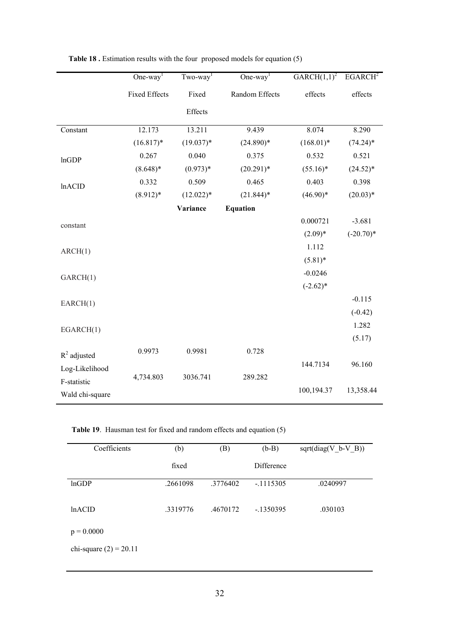|                 | One-way <sup>1</sup> | $Tw_0$ -way <sup>1</sup> | One-way <sup>1</sup> | GARCH $(1,1)^2$ | EGARCH <sup>2</sup> |
|-----------------|----------------------|--------------------------|----------------------|-----------------|---------------------|
|                 | <b>Fixed Effects</b> | Fixed                    | Random Effects       | effects         | effects             |
|                 |                      | Effects                  |                      |                 |                     |
| Constant        | 12.173               | 13.211                   | 9.439                | 8.074           | 8.290               |
|                 | $(16.817)^*$         | $(19.037)^*$             | $(24.890)*$          | $(168.01)*$     | $(74.24)$ *         |
| lnGDP           | 0.267                | 0.040                    | 0.375                | 0.532           | 0.521               |
|                 | $(8.648)*$           | $(0.973)*$               | $(20.291)$ *         | $(55.16)^*$     | $(24.52)^*$         |
| <b>lnACID</b>   | 0.332                | 0.509                    | 0.465                | 0.403           | 0.398               |
|                 | $(8.912)*$           | $(12.022)*$              | $(21.844)$ *         | $(46.90)*$      | $(20.03)*$          |
|                 |                      | Variance                 | <b>Equation</b>      |                 |                     |
| constant        |                      |                          |                      | 0.000721        | $-3.681$            |
|                 |                      |                          |                      | $(2.09)*$       | $(-20.70)*$         |
| ARCH(1)         |                      |                          |                      | 1.112           |                     |
|                 |                      |                          |                      | $(5.81)$ *      |                     |
| GARCH(1)        |                      |                          |                      | $-0.0246$       |                     |
|                 |                      |                          |                      | $(-2.62)*$      |                     |
| EARCH(1)        |                      |                          |                      |                 | $-0.115$            |
|                 |                      |                          |                      |                 | $(-0.42)$           |
| EGARCH(1)       |                      |                          |                      |                 | 1.282               |
|                 |                      |                          |                      |                 | (5.17)              |
| $R^2$ adjusted  | 0.9973               | 0.9981                   | 0.728                |                 |                     |
| Log-Likelihood  |                      |                          |                      | 144.7134        | 96.160              |
| F-statistic     | 4,734.803            | 3036.741                 | 289.282              |                 |                     |
| Wald chi-square |                      |                          |                      | 100,194.37      | 13,358.44           |

Table 18. Estimation results with the four proposed models for equation (5)

Table 19. Hausman test for fixed and random effects and equation (5)

| Coefficients             | (b)      | (B)      | $(b-B)$    | $sqrt(diag(V_b-V_B))$ |
|--------------------------|----------|----------|------------|-----------------------|
|                          | fixed    |          | Difference |                       |
| <b>lnGDP</b>             | .2661098 | .3776402 | $-1115305$ | .0240997              |
|                          |          |          |            |                       |
| InACID                   | .3319776 | .4670172 | $-1350395$ | .030103               |
|                          |          |          |            |                       |
| $p = 0.0000$             |          |          |            |                       |
| chi-square $(2) = 20.11$ |          |          |            |                       |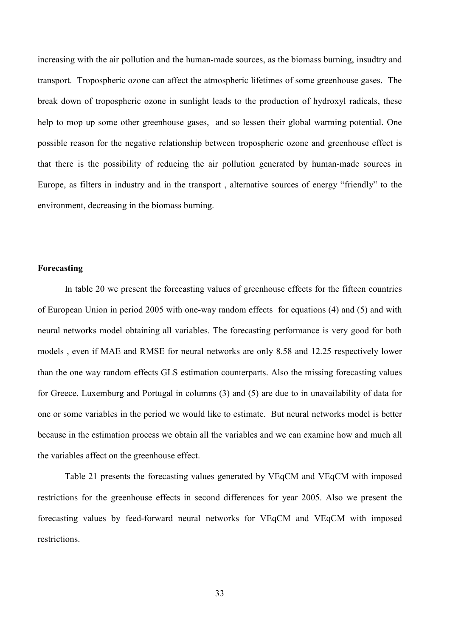increasing with the air pollution and the human-made sources, as the biomass burning, insudtry and transport. Tropospheric ozone can affect the atmospheric lifetimes of some greenhouse gases. The break down of tropospheric ozone in sunlight leads to the production of hydroxyl radicals, these help to mop up some other greenhouse gases, and so lessen their global warming potential. One possible reason for the negative relationship between tropospheric ozone and greenhouse effect is that there is the possibility of reducing the air pollution generated by human-made sources in Europe, as filters in industry and in the transport, alternative sources of energy "friendly" to the environment, decreasing in the biomass burning.

## Forecasting

In table 20 we present the forecasting values of greenhouse effects for the fifteen countries of European Union in period 2005 with one-way random effects for equations (4) and (5) and with neural networks model obtaining all variables. The forecasting performance is very good for both models, even if MAE and RMSE for neural networks are only 8.58 and 12.25 respectively lower than the one way random effects GLS estimation counterparts. Also the missing forecasting values for Greece, Luxemburg and Portugal in columns (3) and (5) are due to in unavailability of data for one or some variables in the period we would like to estimate. But neural networks model is better because in the estimation process we obtain all the variables and we can examine how and much all the variables affect on the greenhouse effect.

Table 21 presents the forecasting values generated by VEqCM and VEqCM with imposed restrictions for the greenhouse effects in second differences for year 2005. Also we present the forecasting values by feed-forward neural networks for VEqCM and VEqCM with imposed restrictions.

33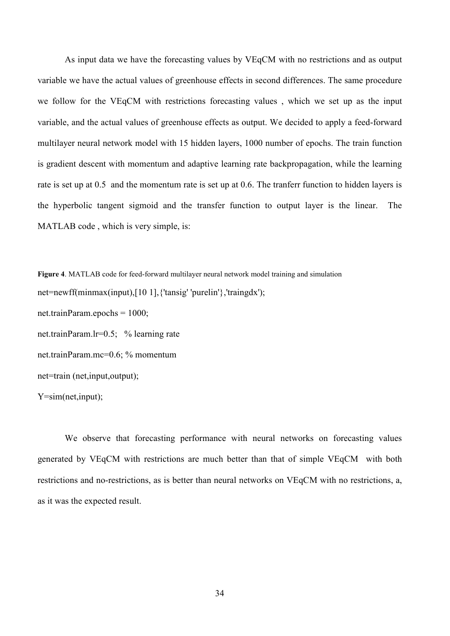As input data we have the forecasting values by VEgCM with no restrictions and as output variable we have the actual values of greenhouse effects in second differences. The same procedure we follow for the VEqCM with restrictions forecasting values, which we set up as the input variable, and the actual values of greenhouse effects as output. We decided to apply a feed-forward multilayer neural network model with 15 hidden layers, 1000 number of epochs. The train function is gradient descent with momentum and adaptive learning rate backpropagation, while the learning rate is set up at 0.5 and the momentum rate is set up at 0.6. The tranferr function to hidden layers is the hyperbolic tangent sigmoid and the transfer function to output layer is the linear. The MATLAB code, which is very simple, is:

Figure 4. MATLAB code for feed-forward multilaver neural network model training and simulation net=newff(minmax(input),[10 1], {'tansig' 'purelin'}, 'traingdx'); net.trainParam.epochs =  $1000$ ; net.trainParam.lr=0.5; % learning rate net.trainParam.mc=0.6; % momentum net=train (net, input, output);  $Y = sim(net, input);$ 

We observe that forecasting performance with neural networks on forecasting values generated by VEqCM with restrictions are much better than that of simple VEqCM with both restrictions and no-restrictions, as is better than neural networks on VEqCM with no restrictions, a, as it was the expected result.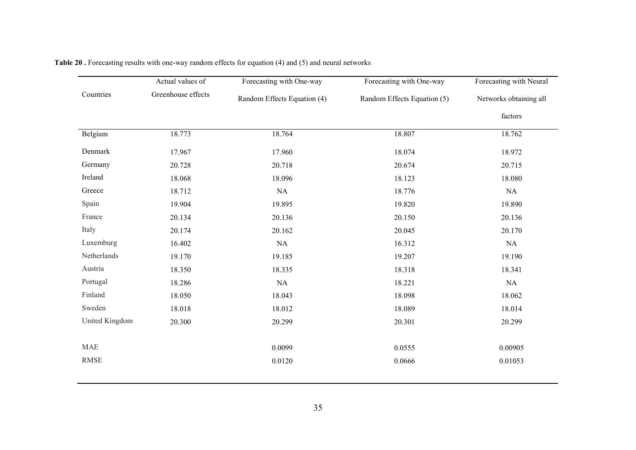|                | Actual values of   | Forecasting with One-way    | Forecasting with One-way    | Forecasting with Neural |  |
|----------------|--------------------|-----------------------------|-----------------------------|-------------------------|--|
| Countries      | Greenhouse effects | Random Effects Equation (4) | Random Effects Equation (5) | Networks obtaining all  |  |
|                |                    |                             |                             | factors                 |  |
| Belgium        | 18.773             | 18.764                      | 18.807                      | 18.762                  |  |
| Denmark        | 17.967             | 17.960                      | 18.074                      | 18.972                  |  |
| Germany        | 20.728             | 20.718                      | 20.674                      | 20.715                  |  |
| Ireland        | 18.068             | 18.096                      | 18.123                      | 18.080                  |  |
| Greece         | 18.712             | NA                          | 18.776                      | NA                      |  |
| Spain          | 19.904             | 19.895                      | 19.820                      | 19.890                  |  |
| France         | 20.134             | 20.136                      | 20.150                      | 20.136                  |  |
| Italy          | 20.174             | 20.162                      | 20.045                      | 20.170                  |  |
| Luxemburg      | 16.402             | <b>NA</b>                   | 16.312                      | NA                      |  |
| Netherlands    | 19.170             | 19.185                      | 19.207                      | 19.190                  |  |
| Austria        | 18.350             | 18.335                      | 18.318                      | 18.341                  |  |
| Portugal       | 18.286             | NA                          | 18.221                      | NA                      |  |
| Finland        | 18.050             | 18.043                      | 18.098                      | 18.062                  |  |
| Sweden         | 18.018             | 18.012                      | 18.089                      | 18.014                  |  |
| United Kingdom | 20.300             | 20.299                      | 20.301                      | 20.299                  |  |
| <b>MAE</b>     |                    | 0.0099                      | 0.0555                      | 0.00905                 |  |
| <b>RMSE</b>    |                    | 0.0120                      | 0.0666                      | 0.01053                 |  |

| <b>Table 20.</b> Forecasting results with one-way random effects for equation (4) and (5) and neural networks |  |  |
|---------------------------------------------------------------------------------------------------------------|--|--|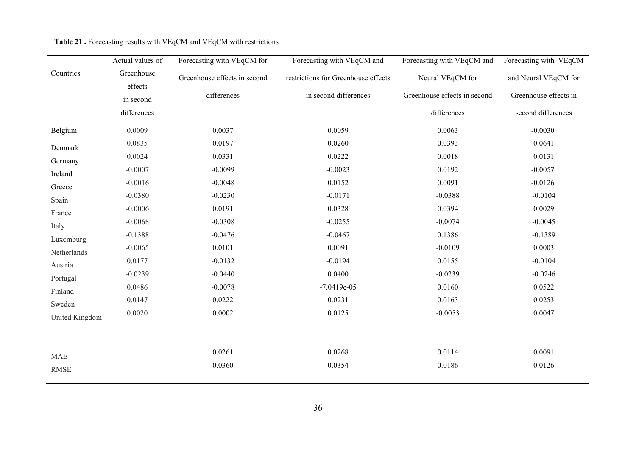|                | Actual values of      | Forecasting with VEqCM for   | Forecasting with VEqCM and          | Forecasting with VEqCM and   | Forecasting with VEqCM |
|----------------|-----------------------|------------------------------|-------------------------------------|------------------------------|------------------------|
| Countries      | Greenhouse<br>effects | Greenhouse effects in second | restrictions for Greenhouse effects | Neural VEqCM for             | and Neural VEqCM for   |
|                | in second             | differences                  | in second differences               | Greenhouse effects in second | Greenhouse effects in  |
|                | differences           |                              |                                     | differences                  | second differences     |
| Belgium        | 0.0009                | 0.0037                       | 0.0059                              | 0.0063                       | $-0.0030$              |
| Denmark        | 0.0835                | 0.0197                       | 0.0260                              | 0.0393                       | 0.0641                 |
| Germany        | 0.0024                | 0.0331                       | 0.0222                              | 0.0018                       | 0.0131                 |
| Ireland        | $-0.0007$             | $-0.0099$                    | $-0.0023$                           | 0.0192                       | $-0.0057$              |
| Greece         | $-0.0016$             | $-0.0048$                    | 0.0152                              | 0.0091                       | $-0.0126$              |
| Spain          | $-0.0380$             | $-0.0230$                    | $-0.0171$                           | $-0.0388$                    | $-0.0104$              |
| France         | $-0.0006$             | 0.0191                       | 0.0328                              | 0.0394                       | 0.0029                 |
| Italy          | $-0.0068$             | $-0.0308$                    | $-0.0255$                           | $-0.0074$                    | $-0.0045$              |
| Luxemburg      | $-0.1388$             | $-0.0476$                    | $-0.0467$                           | 0.1386                       | $-0.1389$              |
| Netherlands    | $-0.0065$             | 0.0101                       | 0.0091                              | $-0.0109$                    | 0.0003                 |
| Austria        | 0.0177                | $-0.0132$                    | $-0.0194$                           | 0.0155                       | $-0.0104$              |
| Portugal       | $-0.0239$             | $-0.0440$                    | 0.0400                              | $-0.0239$                    | $-0.0246$              |
| Finland        | 0.0486                | $-0.0078$                    | $-7.0419e-05$                       | 0.0160                       | 0.0522                 |
| Sweden         | 0.0147                | 0.0222                       | 0.0231                              | 0.0163                       | 0.0253                 |
| United Kingdom | 0.0020                | 0.0002                       | 0.0125                              | $-0.0053$                    | 0.0047                 |
|                |                       |                              |                                     |                              |                        |
| <b>MAE</b>     |                       | 0.0261                       | 0.0268                              | 0.0114                       | 0.0091                 |
| <b>RMSE</b>    |                       | 0.0360                       | 0.0354                              | 0.0186                       | 0.0126                 |

#### Table 21. Forecasting results with VEqCM and VEqCM with restrictions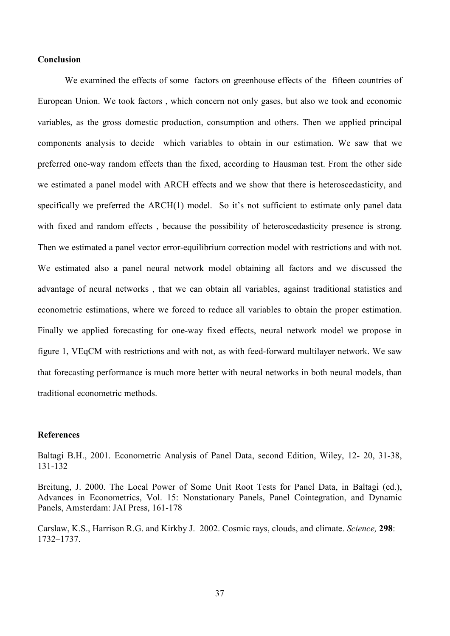## **Conclusion**

We examined the effects of some factors on greenhouse effects of the fifteen countries of European Union. We took factors, which concern not only gases, but also we took and economic variables, as the gross domestic production, consumption and others. Then we applied principal components analysis to decide which variables to obtain in our estimation. We saw that we preferred one-way random effects than the fixed, according to Hausman test. From the other side we estimated a panel model with ARCH effects and we show that there is heteroscedasticity, and specifically we preferred the ARCH(1) model. So it's not sufficient to estimate only panel data with fixed and random effects, because the possibility of heteroscedasticity presence is strong. Then we estimated a panel vector error-equilibrium correction model with restrictions and with not. We estimated also a panel neural network model obtaining all factors and we discussed the advantage of neural networks, that we can obtain all variables, against traditional statistics and econometric estimations, where we forced to reduce all variables to obtain the proper estimation. Finally we applied forecasting for one-way fixed effects, neural network model we propose in figure 1. VEgCM with restrictions and with not, as with feed-forward multilaver network. We saw that forecasting performance is much more better with neural networks in both neural models, than traditional econometric methods

## **References**

Baltagi B.H., 2001. Econometric Analysis of Panel Data, second Edition, Wiley, 12- 20, 31-38, 131-132

Breitung, J. 2000. The Local Power of Some Unit Root Tests for Panel Data, in Baltagi (ed.), Advances in Econometrics, Vol. 15: Nonstationary Panels, Panel Cointegration, and Dynamic Panels, Amsterdam: JAI Press, 161-178

Carslaw, K.S., Harrison R.G. and Kirkby J. 2002. Cosmic rays, clouds, and climate. Science, 298:  $1732 - 1737$ .